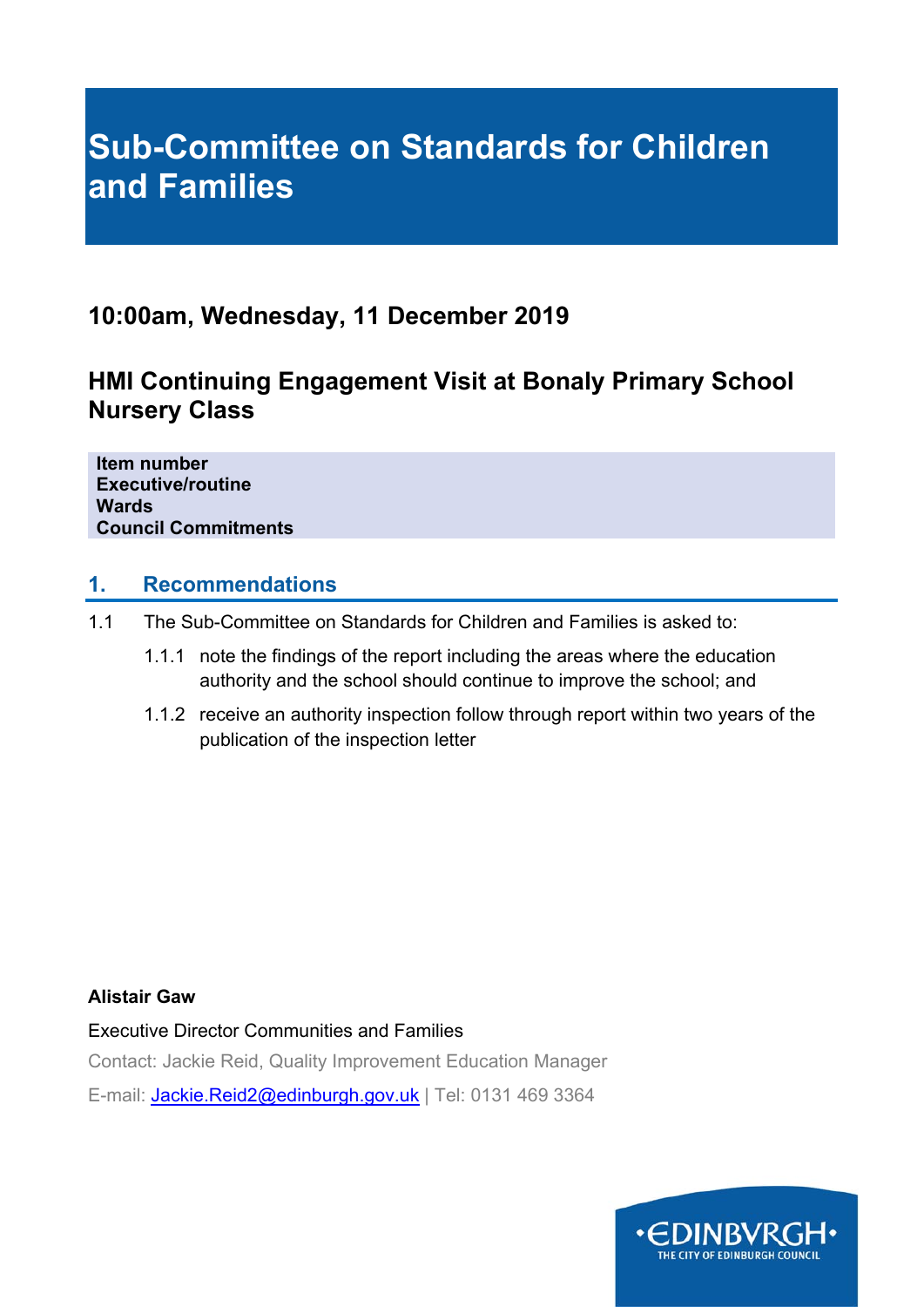# **Sub-Committee on Standards for Children and Families**

## **10:00am, Wednesday, 11 December 2019**

## **HMI Continuing Engagement Visit at Bonaly Primary School Nursery Class**

**Item number Executive/routine Wards Council Commitments** 

## **1. Recommendations**

- 1.1 The Sub-Committee on Standards for Children and Families is asked to:
	- 1.1.1 note the findings of the report including the areas where the education authority and the school should continue to improve the school; and
	- 1.1.2 receive an authority inspection follow through report within two years of the publication of the inspection letter

## **Alistair Gaw**

Executive Director Communities and Families

Contact: Jackie Reid, Quality Improvement Education Manager

E-mail: Jackie.Reid2@edinburgh.gov.uk | Tel: 0131 469 3364

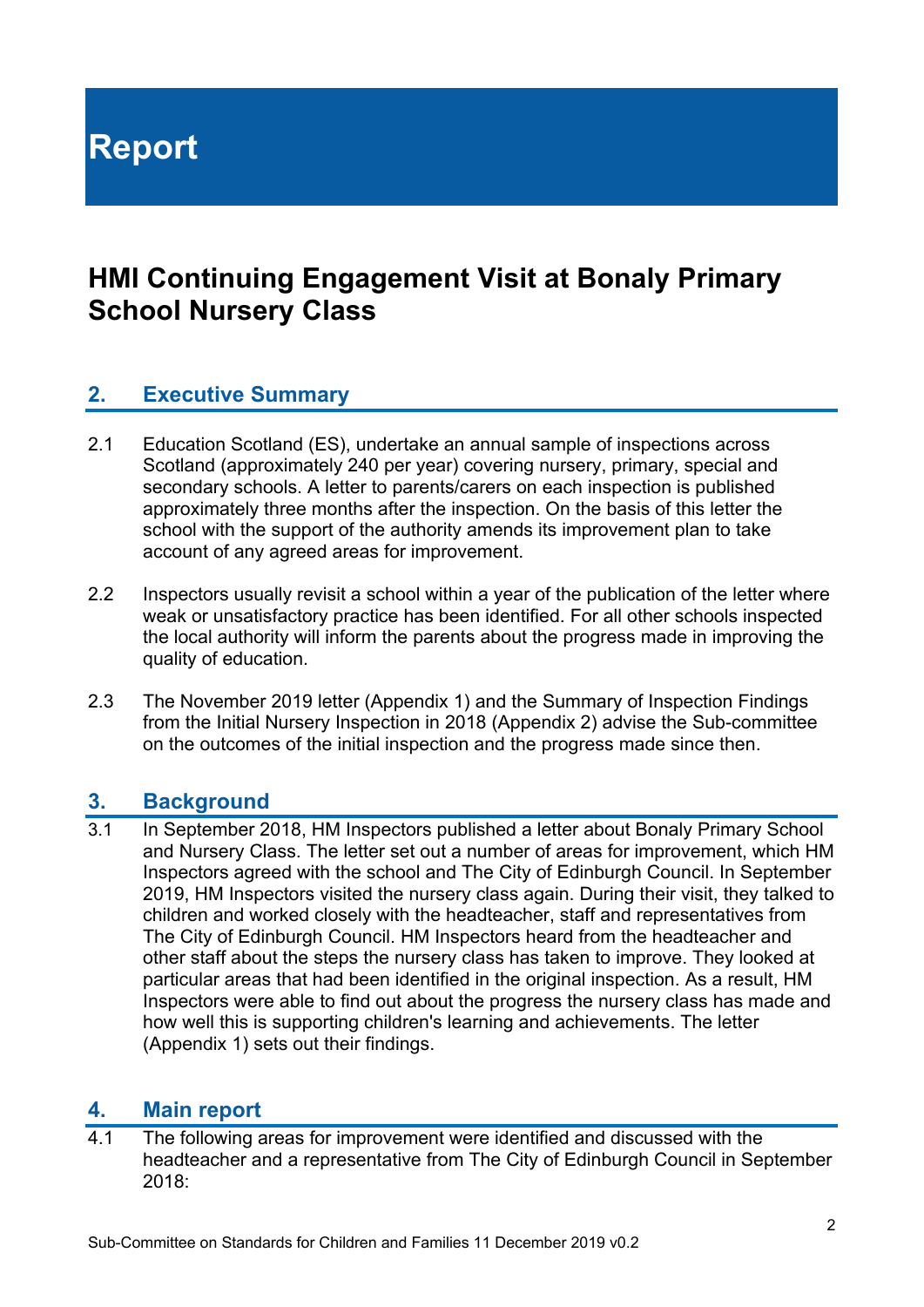**Report** 

# **HMI Continuing Engagement Visit at Bonaly Primary School Nursery Class**

## **2. Executive Summary**

- 2.1 Education Scotland (ES), undertake an annual sample of inspections across Scotland (approximately 240 per year) covering nursery, primary, special and secondary schools. A letter to parents/carers on each inspection is published approximately three months after the inspection. On the basis of this letter the school with the support of the authority amends its improvement plan to take account of any agreed areas for improvement.
- 2.2 Inspectors usually revisit a school within a year of the publication of the letter where weak or unsatisfactory practice has been identified. For all other schools inspected the local authority will inform the parents about the progress made in improving the quality of education.
- 2.3 The November 2019 letter (Appendix 1) and the Summary of Inspection Findings from the Initial Nursery Inspection in 2018 (Appendix 2) advise the Sub-committee on the outcomes of the initial inspection and the progress made since then.

## **3. Background**

3.1 In September 2018, HM Inspectors published a letter about Bonaly Primary School and Nursery Class. The letter set out a number of areas for improvement, which HM Inspectors agreed with the school and The City of Edinburgh Council. In September 2019, HM Inspectors visited the nursery class again. During their visit, they talked to children and worked closely with the headteacher, staff and representatives from The City of Edinburgh Council. HM Inspectors heard from the headteacher and other staff about the steps the nursery class has taken to improve. They looked at particular areas that had been identified in the original inspection. As a result, HM Inspectors were able to find out about the progress the nursery class has made and how well this is supporting children's learning and achievements. The letter (Appendix 1) sets out their findings.

## **4. Main report**

4.1 The following areas for improvement were identified and discussed with the headteacher and a representative from The City of Edinburgh Council in September 2018: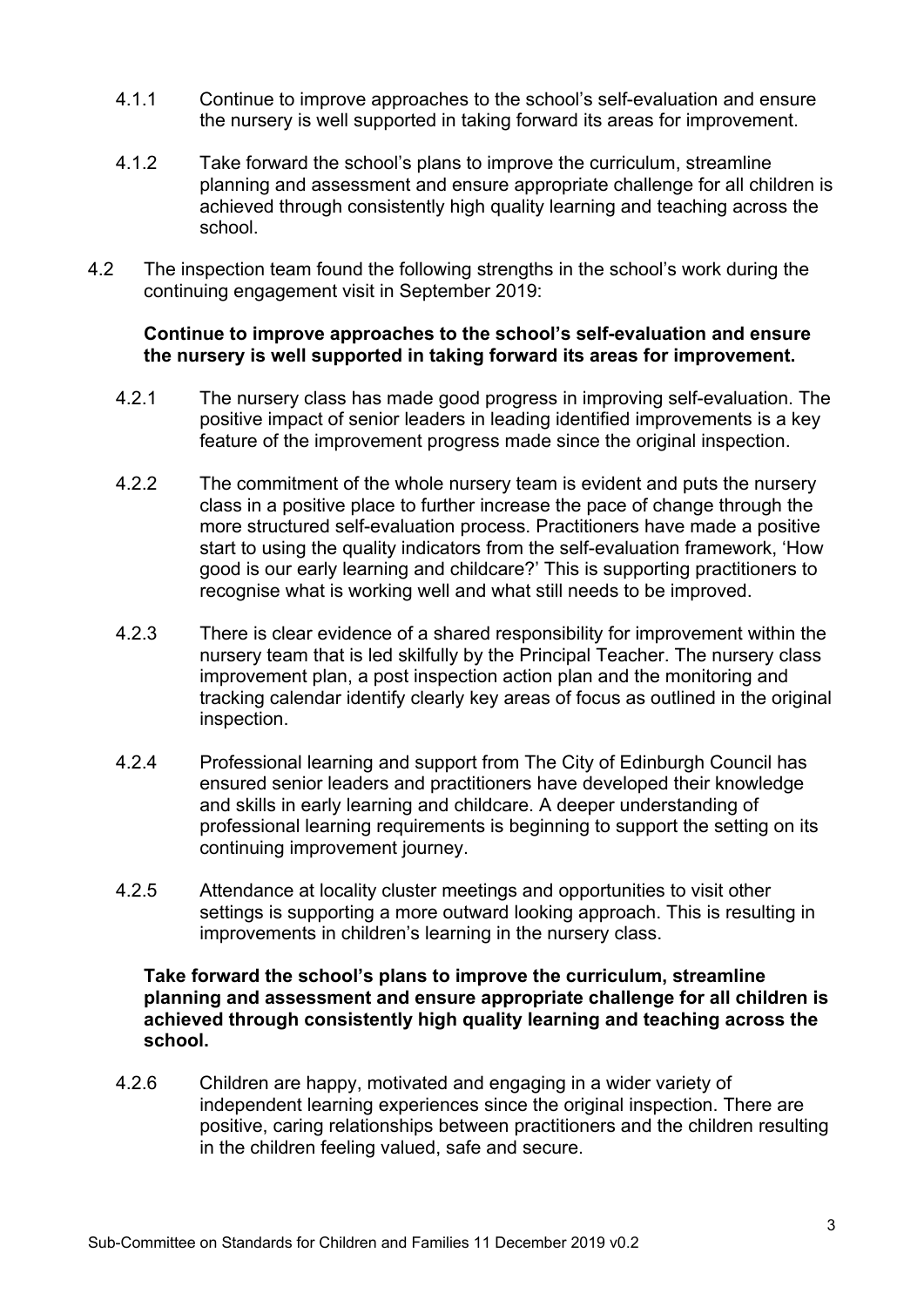- 4.1.1 Continue to improve approaches to the school's self-evaluation and ensure the nursery is well supported in taking forward its areas for improvement.
- 4.1.2 Take forward the school's plans to improve the curriculum, streamline planning and assessment and ensure appropriate challenge for all children is achieved through consistently high quality learning and teaching across the school.
- 4.2 The inspection team found the following strengths in the school's work during the continuing engagement visit in September 2019:

## **Continue to improve approaches to the school's self-evaluation and ensure the nursery is well supported in taking forward its areas for improvement.**

- 4.2.1 The nursery class has made good progress in improving self-evaluation. The positive impact of senior leaders in leading identified improvements is a key feature of the improvement progress made since the original inspection.
- 4.2.2 The commitment of the whole nursery team is evident and puts the nursery class in a positive place to further increase the pace of change through the more structured self-evaluation process. Practitioners have made a positive start to using the quality indicators from the self-evaluation framework, 'How good is our early learning and childcare?' This is supporting practitioners to recognise what is working well and what still needs to be improved.
- 4.2.3 There is clear evidence of a shared responsibility for improvement within the nursery team that is led skilfully by the Principal Teacher. The nursery class improvement plan, a post inspection action plan and the monitoring and tracking calendar identify clearly key areas of focus as outlined in the original inspection.
- 4.2.4 Professional learning and support from The City of Edinburgh Council has ensured senior leaders and practitioners have developed their knowledge and skills in early learning and childcare. A deeper understanding of professional learning requirements is beginning to support the setting on its continuing improvement journey.
- 4.2.5 Attendance at locality cluster meetings and opportunities to visit other settings is supporting a more outward looking approach. This is resulting in improvements in children's learning in the nursery class.

#### **Take forward the school's plans to improve the curriculum, streamline planning and assessment and ensure appropriate challenge for all children is achieved through consistently high quality learning and teaching across the school.**

4.2.6 Children are happy, motivated and engaging in a wider variety of independent learning experiences since the original inspection. There are positive, caring relationships between practitioners and the children resulting in the children feeling valued, safe and secure.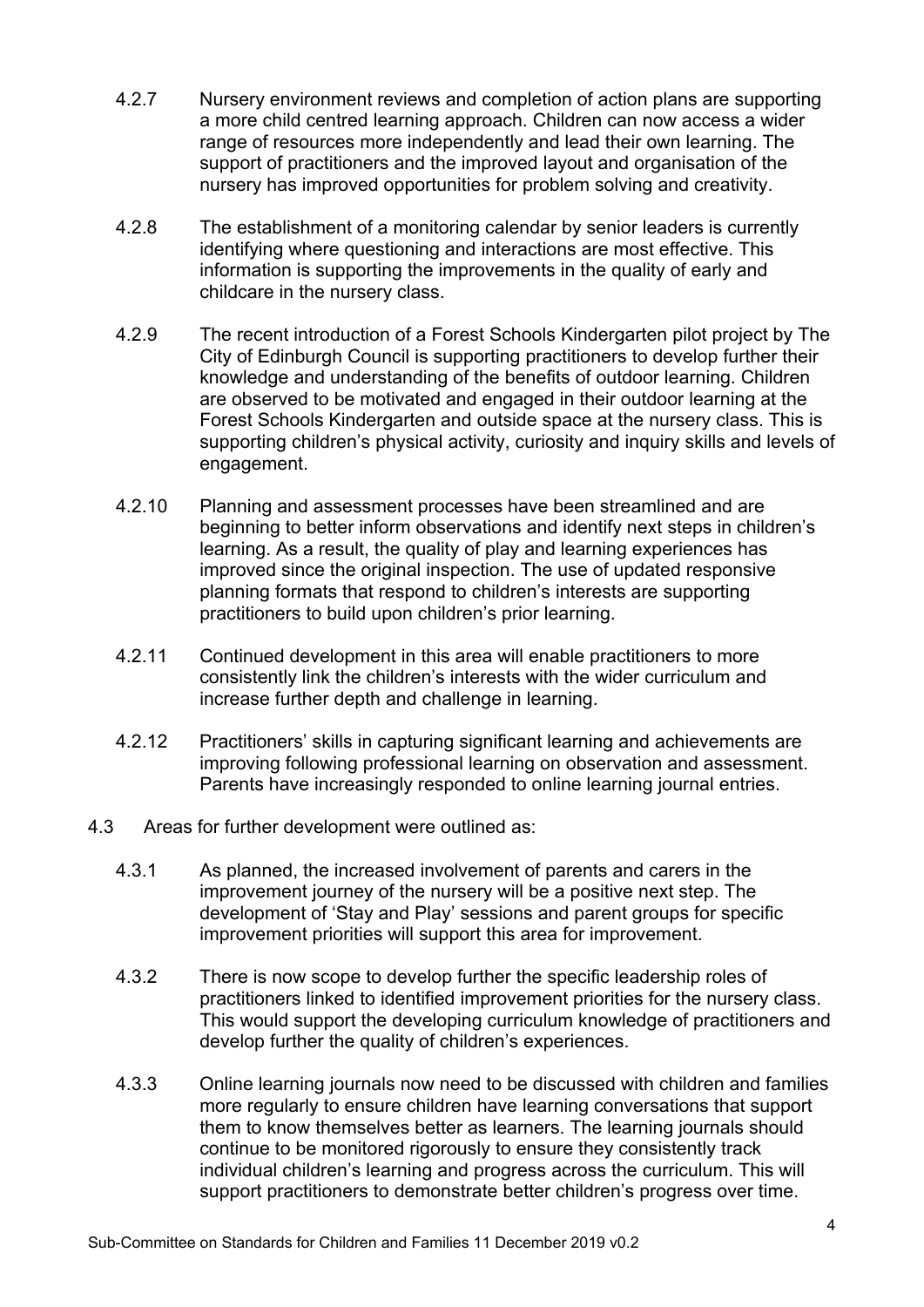- 4.2.7 Nursery environment reviews and completion of action plans are supporting a more child centred learning approach. Children can now access a wider range of resources more independently and lead their own learning. The support of practitioners and the improved layout and organisation of the nursery has improved opportunities for problem solving and creativity.
- 4.2.8 The establishment of a monitoring calendar by senior leaders is currently identifying where questioning and interactions are most effective. This information is supporting the improvements in the quality of early and childcare in the nursery class.
- 4.2.9 The recent introduction of a Forest Schools Kindergarten pilot project by The City of Edinburgh Council is supporting practitioners to develop further their knowledge and understanding of the benefits of outdoor learning. Children are observed to be motivated and engaged in their outdoor learning at the Forest Schools Kindergarten and outside space at the nursery class. This is supporting children's physical activity, curiosity and inquiry skills and levels of engagement.
- 4.2.10 Planning and assessment processes have been streamlined and are beginning to better inform observations and identify next steps in children's learning. As a result, the quality of play and learning experiences has improved since the original inspection. The use of updated responsive planning formats that respond to children's interests are supporting practitioners to build upon children's prior learning.
- 4.2.11 Continued development in this area will enable practitioners to more consistently link the children's interests with the wider curriculum and increase further depth and challenge in learning.
- 4.2.12 Practitioners' skills in capturing significant learning and achievements are improving following professional learning on observation and assessment. Parents have increasingly responded to online learning journal entries.
- 4.3 Areas for further development were outlined as:
	- 4.3.1 As planned, the increased involvement of parents and carers in the improvement journey of the nursery will be a positive next step. The development of 'Stay and Play' sessions and parent groups for specific improvement priorities will support this area for improvement.
	- 4.3.2 There is now scope to develop further the specific leadership roles of practitioners linked to identified improvement priorities for the nursery class. This would support the developing curriculum knowledge of practitioners and develop further the quality of children's experiences.
	- 4.3.3 Online learning journals now need to be discussed with children and families more regularly to ensure children have learning conversations that support them to know themselves better as learners. The learning journals should continue to be monitored rigorously to ensure they consistently track individual children's learning and progress across the curriculum. This will support practitioners to demonstrate better children's progress over time.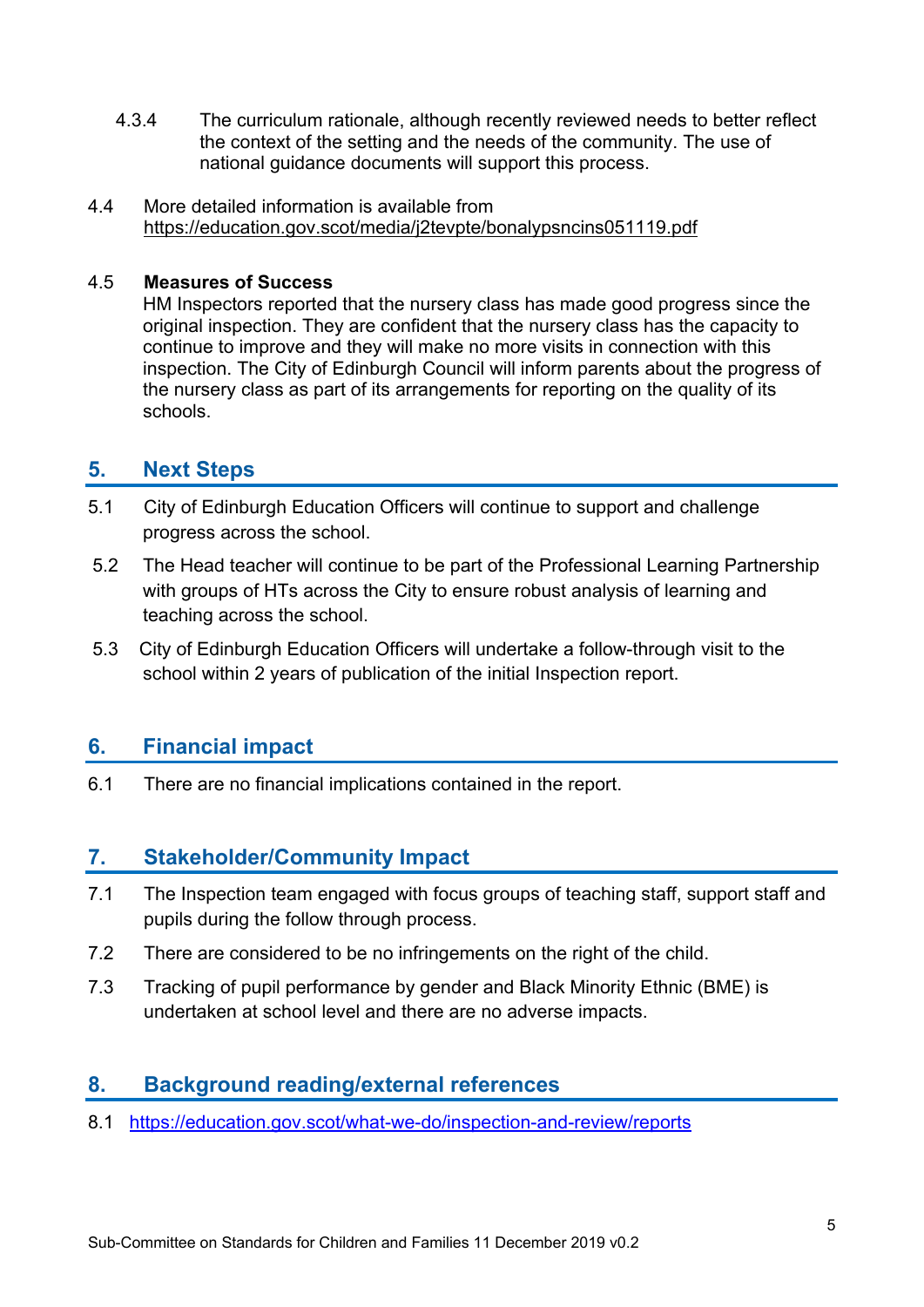- 4.3.4 The curriculum rationale, although recently reviewed needs to better reflect the context of the setting and the needs of the community. The use of national guidance documents will support this process.
- 4.4 More detailed information is available from https://education.gov.scot/media/j2tevpte/bonalypsncins051119.pdf

## 4.5 **Measures of Success**

HM Inspectors reported that the nursery class has made good progress since the original inspection. They are confident that the nursery class has the capacity to continue to improve and they will make no more visits in connection with this inspection. The City of Edinburgh Council will inform parents about the progress of the nursery class as part of its arrangements for reporting on the quality of its schools.

## **5. Next Steps**

- 5.1 City of Edinburgh Education Officers will continue to support and challenge progress across the school.
- 5.2 The Head teacher will continue to be part of the Professional Learning Partnership with groups of HTs across the City to ensure robust analysis of learning and teaching across the school.
- 5.3 City of Edinburgh Education Officers will undertake a follow-through visit to the school within 2 years of publication of the initial Inspection report.

## **6. Financial impact**

6.1 There are no financial implications contained in the report.

## **7. Stakeholder/Community Impact**

- 7.1 The Inspection team engaged with focus groups of teaching staff, support staff and pupils during the follow through process.
- 7.2 There are considered to be no infringements on the right of the child.
- 7.3 Tracking of pupil performance by gender and Black Minority Ethnic (BME) is undertaken at school level and there are no adverse impacts.

## **8. Background reading/external references**

8.1 https://education.gov.scot/what-we-do/inspection-and-review/reports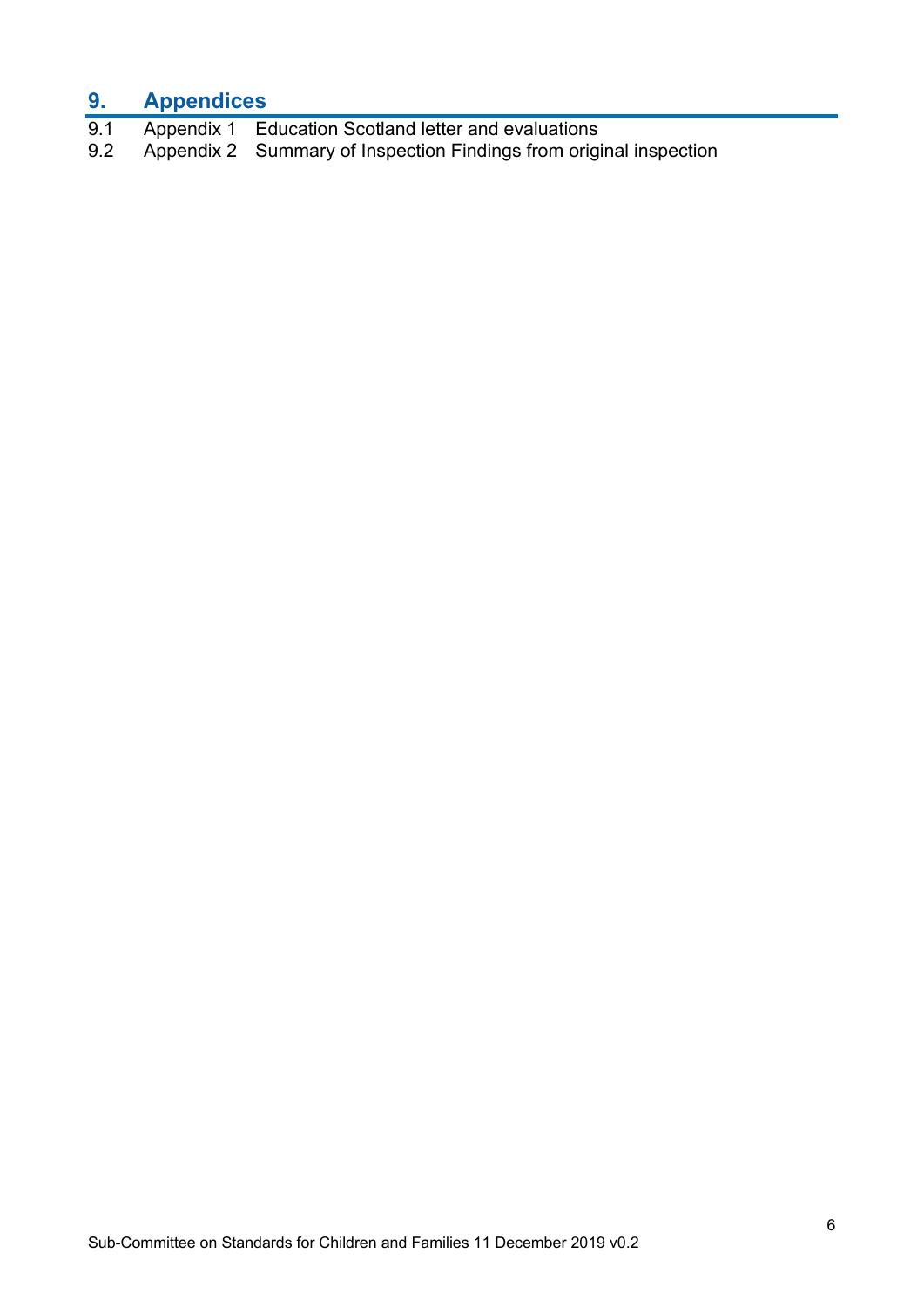# **9. Appendices**

- 9.1 Appendix 1 Education Scotland letter and evaluations<br>9.2 Appendix 2 Summary of Inspection Findings from origi
- Appendix 2 Summary of Inspection Findings from original inspection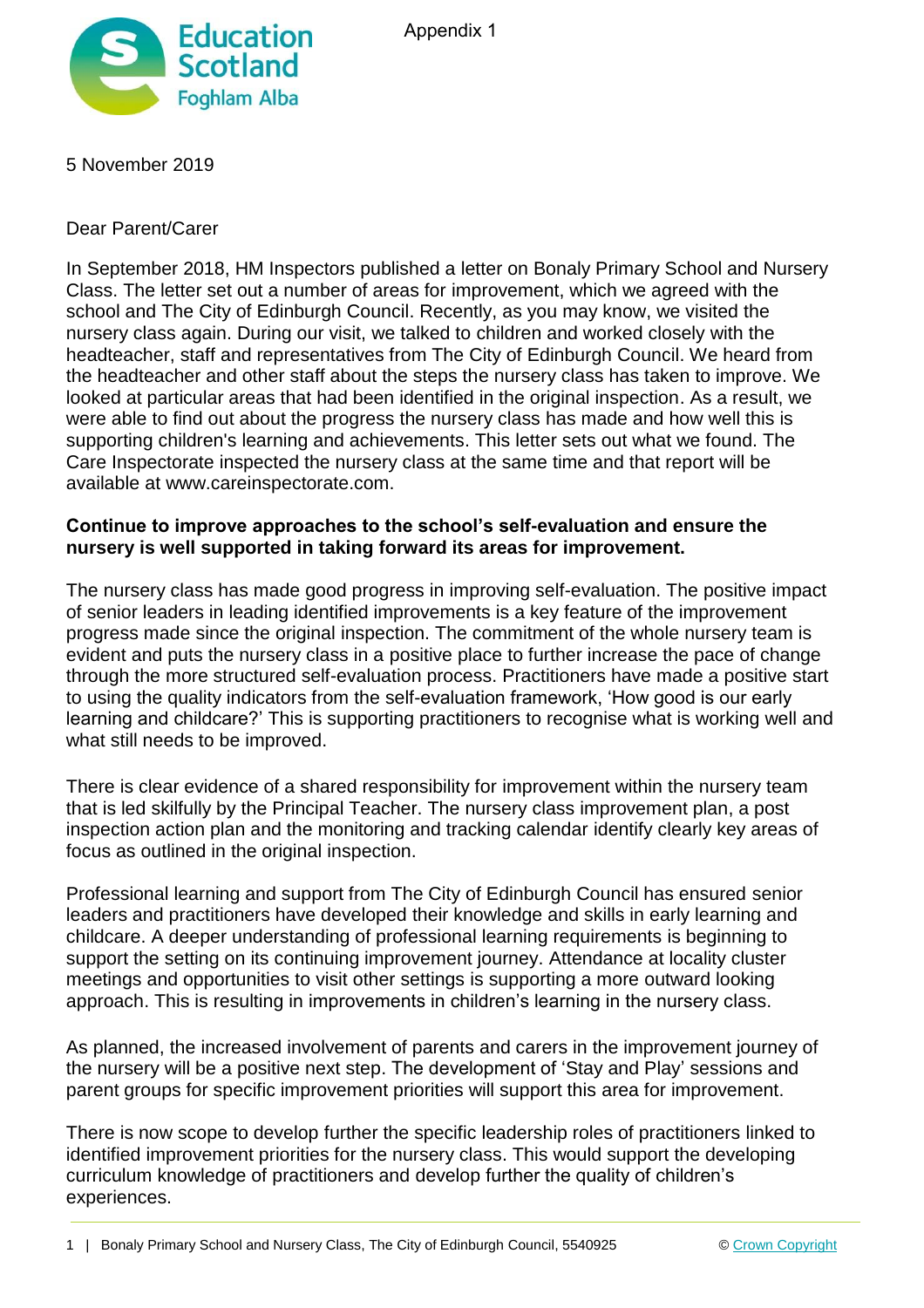



5 November 2019

Dear Parent/Carer

In September 2018, HM Inspectors published a letter on Bonaly Primary School and Nursery Class. The letter set out a number of areas for improvement, which we agreed with the school and The City of Edinburgh Council. Recently, as you may know, we visited the nursery class again. During our visit, we talked to children and worked closely with the headteacher, staff and representatives from The City of Edinburgh Council. We heard from the headteacher and other staff about the steps the nursery class has taken to improve. We looked at particular areas that had been identified in the original inspection. As a result, we were able to find out about the progress the nursery class has made and how well this is supporting children's learning and achievements. This letter sets out what we found. The Care Inspectorate inspected the nursery class at the same time and that report will be available at www.careinspectorate.com.

## **Continue to improve approaches to the school's self-evaluation and ensure the nursery is well supported in taking forward its areas for improvement.**

The nursery class has made good progress in improving self-evaluation. The positive impact of senior leaders in leading identified improvements is a key feature of the improvement progress made since the original inspection. The commitment of the whole nursery team is evident and puts the nursery class in a positive place to further increase the pace of change through the more structured self-evaluation process. Practitioners have made a positive start to using the quality indicators from the self-evaluation framework, 'How good is our early learning and childcare?' This is supporting practitioners to recognise what is working well and what still needs to be improved.

There is clear evidence of a shared responsibility for improvement within the nursery team that is led skilfully by the Principal Teacher. The nursery class improvement plan, a post inspection action plan and the monitoring and tracking calendar identify clearly key areas of focus as outlined in the original inspection.

Professional learning and support from The City of Edinburgh Council has ensured senior leaders and practitioners have developed their knowledge and skills in early learning and childcare. A deeper understanding of professional learning requirements is beginning to support the setting on its continuing improvement journey. Attendance at locality cluster meetings and opportunities to visit other settings is supporting a more outward looking approach. This is resulting in improvements in children's learning in the nursery class.

As planned, the increased involvement of parents and carers in the improvement journey of the nursery will be a positive next step. The development of 'Stay and Play' sessions and parent groups for specific improvement priorities will support this area for improvement.

There is now scope to develop further the specific leadership roles of practitioners linked to identified improvement priorities for the nursery class. This would support the developing curriculum knowledge of practitioners and develop further the quality of children's experiences.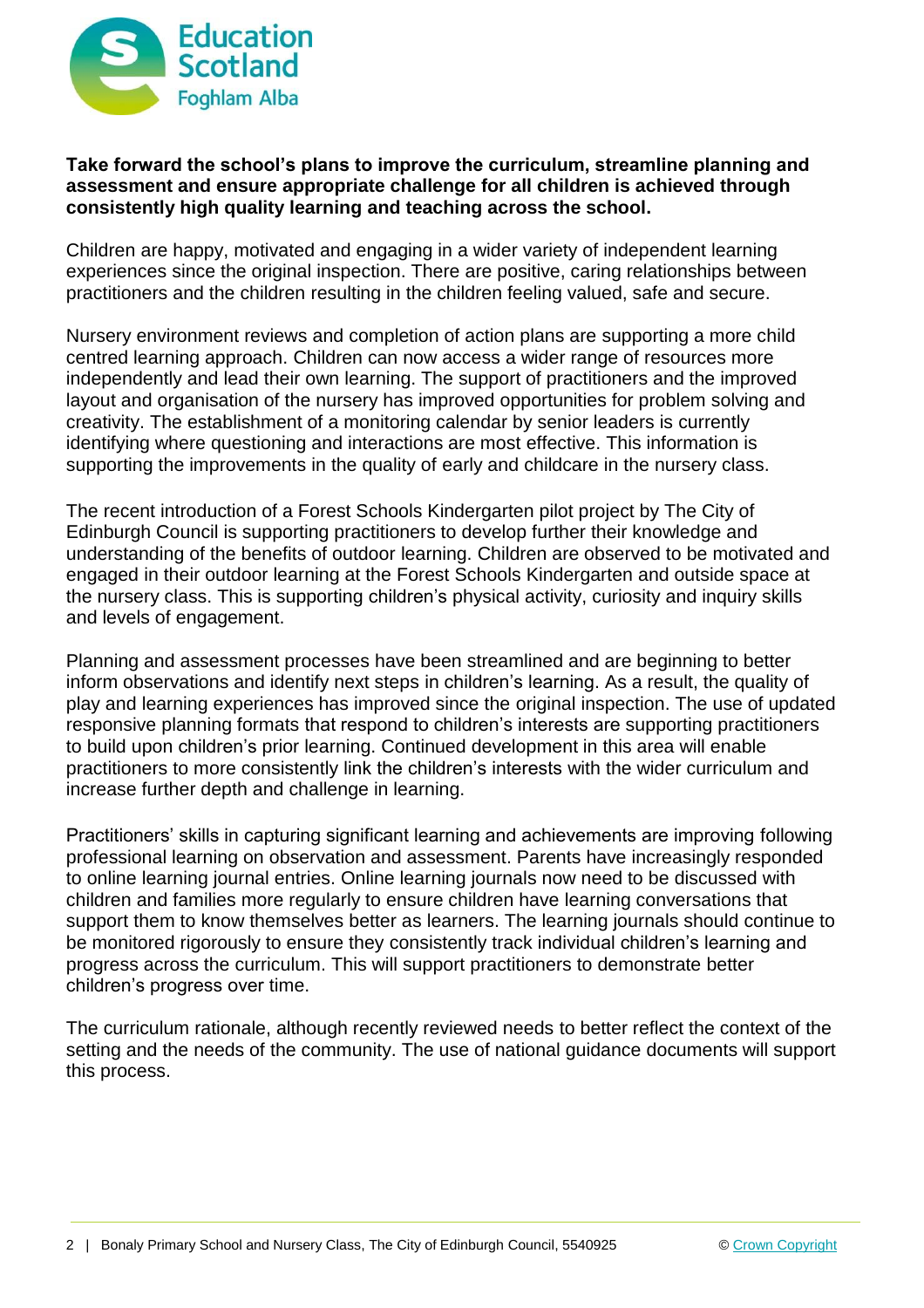

## **Take forward the school's plans to improve the curriculum, streamline planning and assessment and ensure appropriate challenge for all children is achieved through consistently high quality learning and teaching across the school.**

Children are happy, motivated and engaging in a wider variety of independent learning experiences since the original inspection. There are positive, caring relationships between practitioners and the children resulting in the children feeling valued, safe and secure.

Nursery environment reviews and completion of action plans are supporting a more child centred learning approach. Children can now access a wider range of resources more independently and lead their own learning. The support of practitioners and the improved layout and organisation of the nursery has improved opportunities for problem solving and creativity. The establishment of a monitoring calendar by senior leaders is currently identifying where questioning and interactions are most effective. This information is supporting the improvements in the quality of early and childcare in the nursery class.

The recent introduction of a Forest Schools Kindergarten pilot project by The City of Edinburgh Council is supporting practitioners to develop further their knowledge and understanding of the benefits of outdoor learning. Children are observed to be motivated and engaged in their outdoor learning at the Forest Schools Kindergarten and outside space at the nursery class. This is supporting children's physical activity, curiosity and inquiry skills and levels of engagement.

Planning and assessment processes have been streamlined and are beginning to better inform observations and identify next steps in children's learning. As a result, the quality of play and learning experiences has improved since the original inspection. The use of updated responsive planning formats that respond to children's interests are supporting practitioners to build upon children's prior learning. Continued development in this area will enable practitioners to more consistently link the children's interests with the wider curriculum and increase further depth and challenge in learning.

Practitioners' skills in capturing significant learning and achievements are improving following professional learning on observation and assessment. Parents have increasingly responded to online learning journal entries. Online learning journals now need to be discussed with children and families more regularly to ensure children have learning conversations that support them to know themselves better as learners. The learning journals should continue to be monitored rigorously to ensure they consistently track individual children's learning and progress across the curriculum. This will support practitioners to demonstrate better children's progress over time.

The curriculum rationale, although recently reviewed needs to better reflect the context of the setting and the needs of the community. The use of national guidance documents will support this process.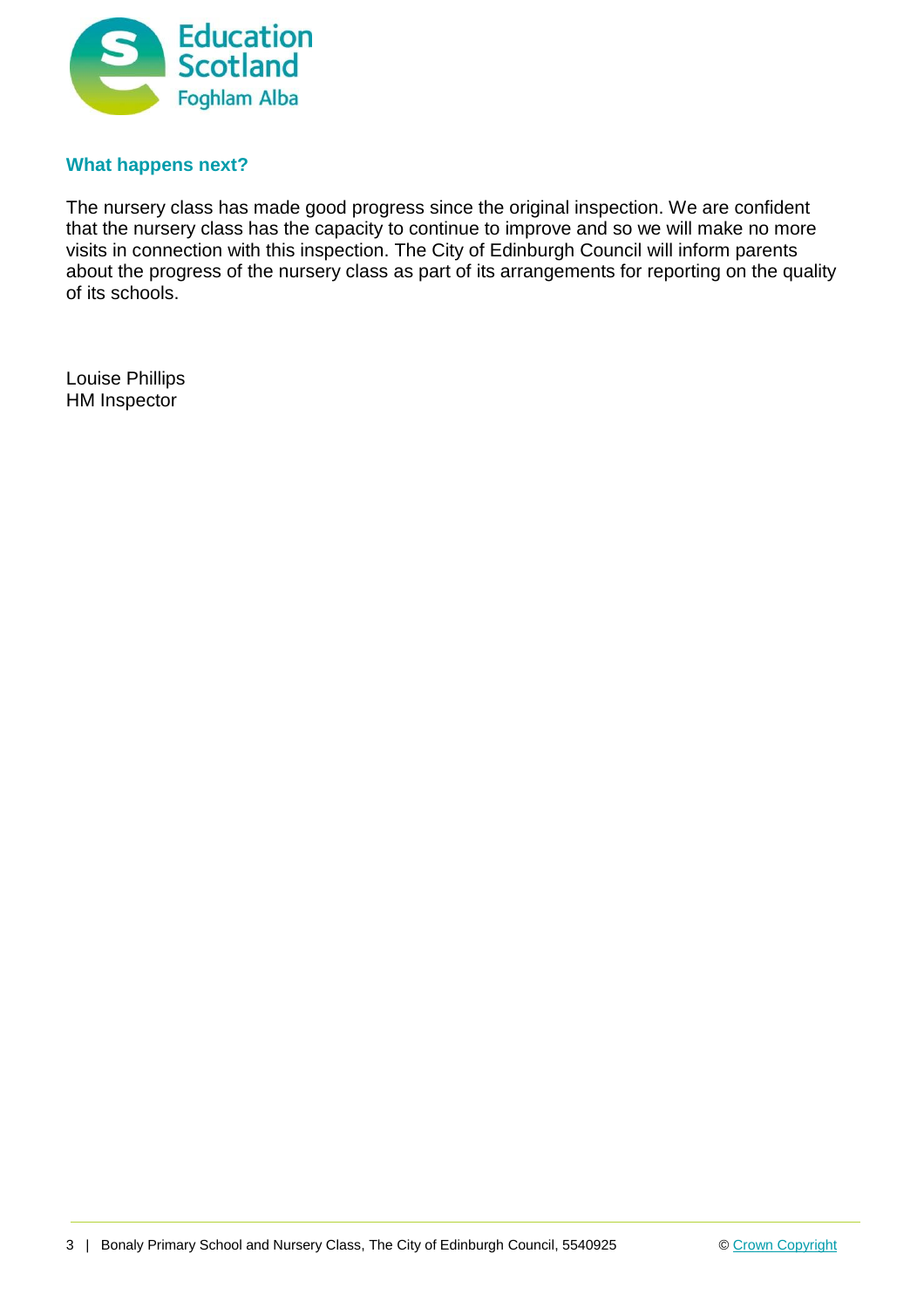

## **What happens next?**

The nursery class has made good progress since the original inspection. We are confident that the nursery class has the capacity to continue to improve and so we will make no more visits in connection with this inspection. The City of Edinburgh Council will inform parents about the progress of the nursery class as part of its arrangements for reporting on the quality of its schools.

Louise Phillips HM Inspector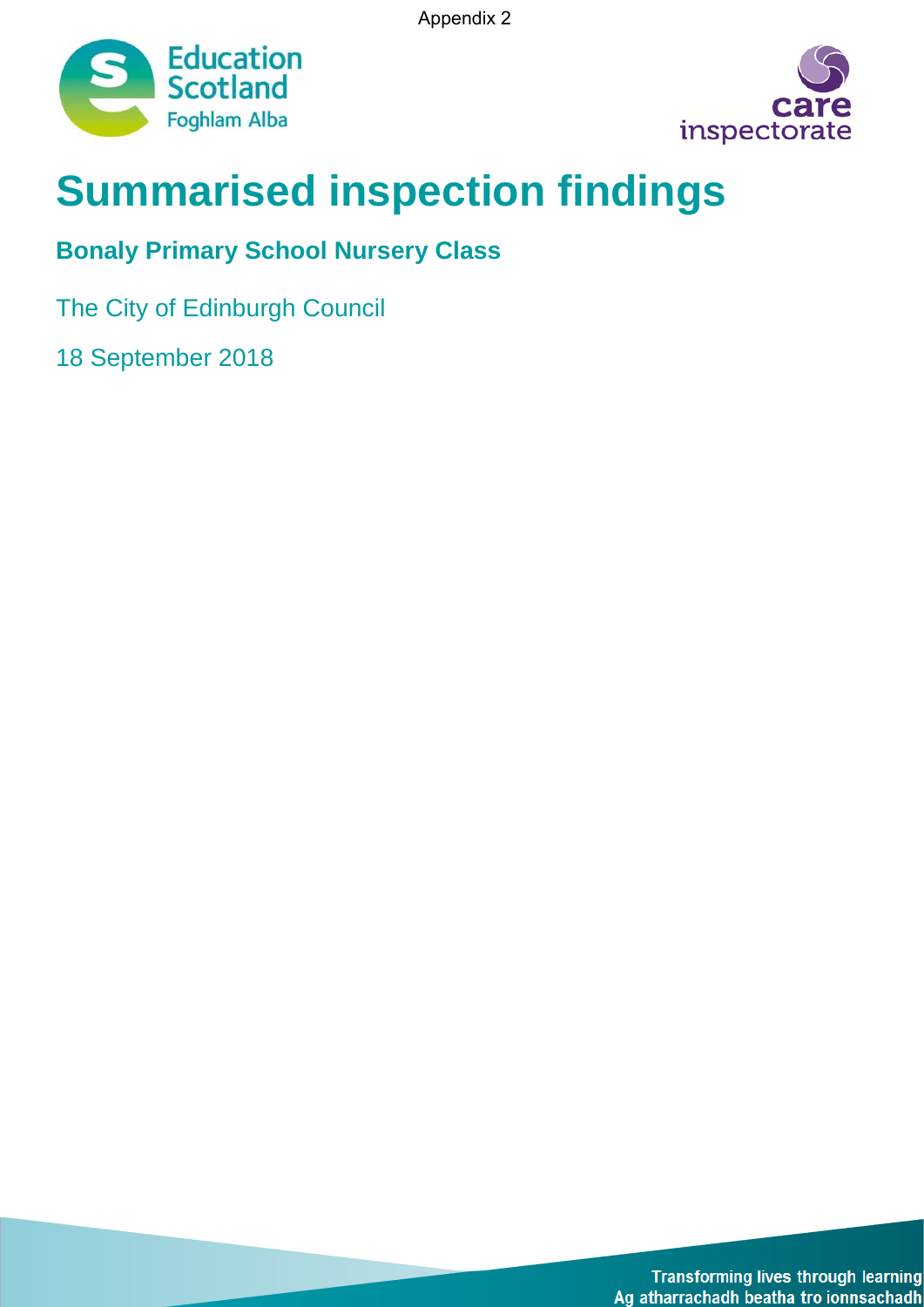Appendix 2





# **Summarised inspection findings**

# **Bonaly Primary School Nursery Class**

The City of Edinburgh Council

18 September 2018

**Transforming lives through learning** Ag atharrachadh beatha tro ionnsachadh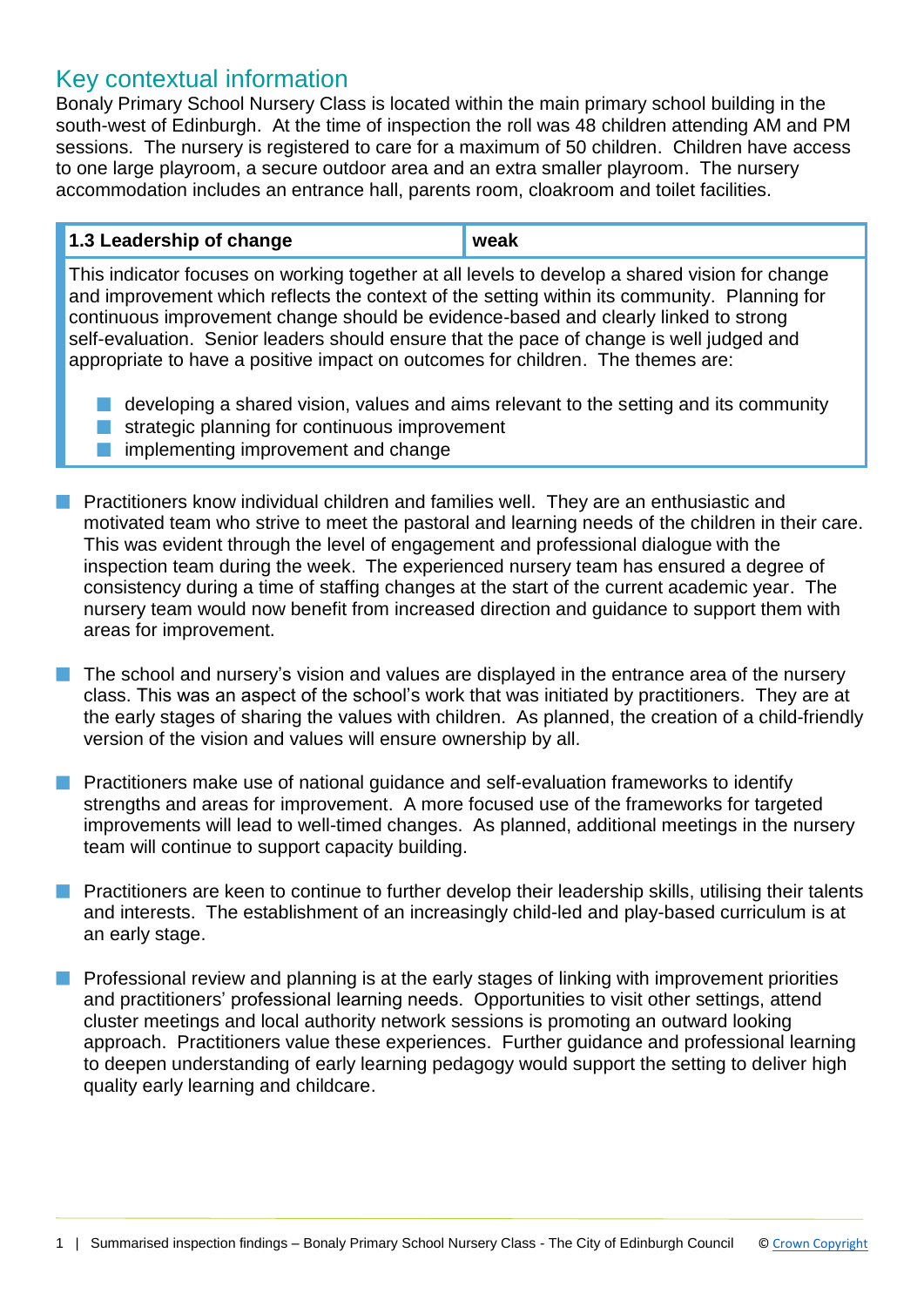## Key contextual information

Bonaly Primary School Nursery Class is located within the main primary school building in the south-west of Edinburgh. At the time of inspection the roll was 48 children attending AM and PM sessions. The nursery is registered to care for a maximum of 50 children. Children have access to one large playroom, a secure outdoor area and an extra smaller playroom. The nursery accommodation includes an entrance hall, parents room, cloakroom and toilet facilities.

| 1.3 Leadership of change | weak |  |
|--------------------------|------|--|
|--------------------------|------|--|

This indicator focuses on working together at all levels to develop a shared vision for change and improvement which reflects the context of the setting within its community. Planning for continuous improvement change should be evidence-based and clearly linked to strong self-evaluation. Senior leaders should ensure that the pace of change is well judged and appropriate to have a positive impact on outcomes for children. The themes are:

- $\blacksquare$  developing a shared vision, values and aims relevant to the setting and its community
- $\blacksquare$  strategic planning for continuous improvement
- implementing improvement and change
- Practitioners know individual children and families well. They are an enthusiastic and motivated team who strive to meet the pastoral and learning needs of the children in their care. This was evident through the level of engagement and professional dialogue with the inspection team during the week. The experienced nursery team has ensured a degree of consistency during a time of staffing changes at the start of the current academic year. The nursery team would now benefit from increased direction and guidance to support them with areas for improvement.
- $\blacksquare$  The school and nursery's vision and values are displayed in the entrance area of the nursery class. This was an aspect of the school's work that was initiated by practitioners. They are at the early stages of sharing the values with children. As planned, the creation of a child-friendly version of the vision and values will ensure ownership by all.
- **n** Practitioners make use of national guidance and self-evaluation frameworks to identify strengths and areas for improvement. A more focused use of the frameworks for targeted improvements will lead to well-timed changes. As planned, additional meetings in the nursery team will continue to support capacity building.
- **n** Practitioners are keen to continue to further develop their leadership skills, utilising their talents and interests. The establishment of an increasingly child-led and play-based curriculum is at an early stage.
- **n** Professional review and planning is at the early stages of linking with improvement priorities and practitioners' professional learning needs. Opportunities to visit other settings, attend cluster meetings and local authority network sessions is promoting an outward looking approach. Practitioners value these experiences. Further guidance and professional learning to deepen understanding of early learning pedagogy would support the setting to deliver high quality early learning and childcare.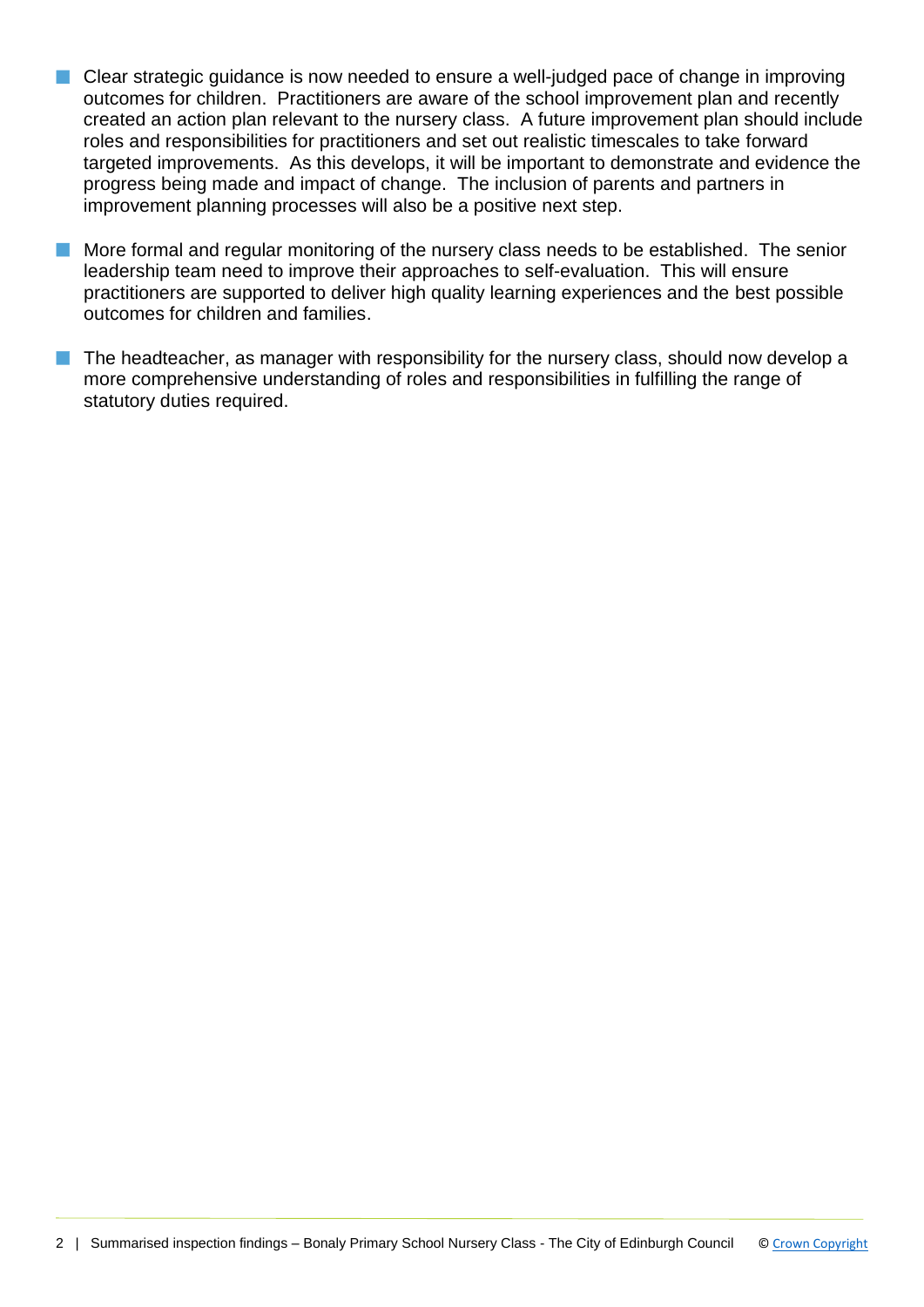- Clear strategic guidance is now needed to ensure a well-judged pace of change in improving outcomes for children. Practitioners are aware of the school improvement plan and recently created an action plan relevant to the nursery class. A future improvement plan should include roles and responsibilities for practitioners and set out realistic timescales to take forward targeted improvements. As this develops, it will be important to demonstrate and evidence the progress being made and impact of change. The inclusion of parents and partners in improvement planning processes will also be a positive next step.
- **n** More formal and regular monitoring of the nursery class needs to be established. The senior leadership team need to improve their approaches to self-evaluation. This will ensure practitioners are supported to deliver high quality learning experiences and the best possible outcomes for children and families.
- $\blacksquare$  The headteacher, as manager with responsibility for the nursery class, should now develop a more comprehensive understanding of roles and responsibilities in fulfilling the range of statutory duties required.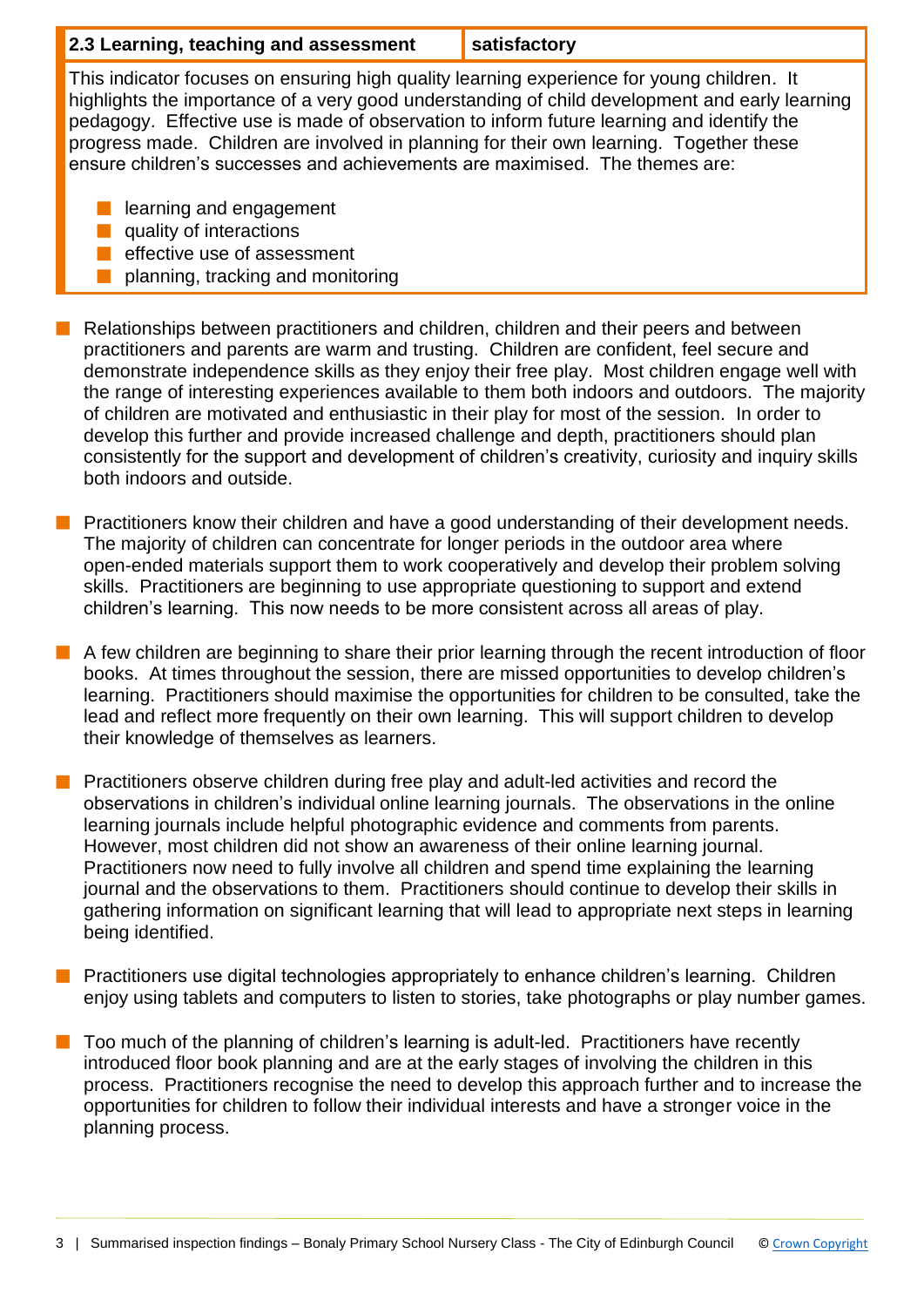## **2.3 Learning, teaching and assessment satisfactory**

This indicator focuses on ensuring high quality learning experience for young children. It highlights the importance of a very good understanding of child development and early learning pedagogy. Effective use is made of observation to inform future learning and identify the progress made. Children are involved in planning for their own learning. Together these ensure children's successes and achievements are maximised. The themes are:

- $\blacksquare$  learning and engagement
- $\blacksquare$  quality of interactions
- **n** effective use of assessment
- planning, tracking and monitoring
- n Relationships between practitioners and children, children and their peers and between practitioners and parents are warm and trusting. Children are confident, feel secure and demonstrate independence skills as they enjoy their free play. Most children engage well with the range of interesting experiences available to them both indoors and outdoors. The majority of children are motivated and enthusiastic in their play for most of the session. In order to develop this further and provide increased challenge and depth, practitioners should plan consistently for the support and development of children's creativity, curiosity and inquiry skills both indoors and outside.
- **n** Practitioners know their children and have a good understanding of their development needs. The majority of children can concentrate for longer periods in the outdoor area where open-ended materials support them to work cooperatively and develop their problem solving skills. Practitioners are beginning to use appropriate questioning to support and extend children's learning. This now needs to be more consistent across all areas of play.
- **n** A few children are beginning to share their prior learning through the recent introduction of floor books. At times throughout the session, there are missed opportunities to develop children's learning. Practitioners should maximise the opportunities for children to be consulted, take the lead and reflect more frequently on their own learning. This will support children to develop their knowledge of themselves as learners.
- **n** Practitioners observe children during free play and adult-led activities and record the observations in children's individual online learning journals. The observations in the online learning journals include helpful photographic evidence and comments from parents. However, most children did not show an awareness of their online learning journal. Practitioners now need to fully involve all children and spend time explaining the learning journal and the observations to them. Practitioners should continue to develop their skills in gathering information on significant learning that will lead to appropriate next steps in learning being identified.
- **n** Practitioners use digital technologies appropriately to enhance children's learning. Children enjoy using tablets and computers to listen to stories, take photographs or play number games.
- $\blacksquare$  Too much of the planning of children's learning is adult-led. Practitioners have recently introduced floor book planning and are at the early stages of involving the children in this process. Practitioners recognise the need to develop this approach further and to increase the opportunities for children to follow their individual interests and have a stronger voice in the planning process.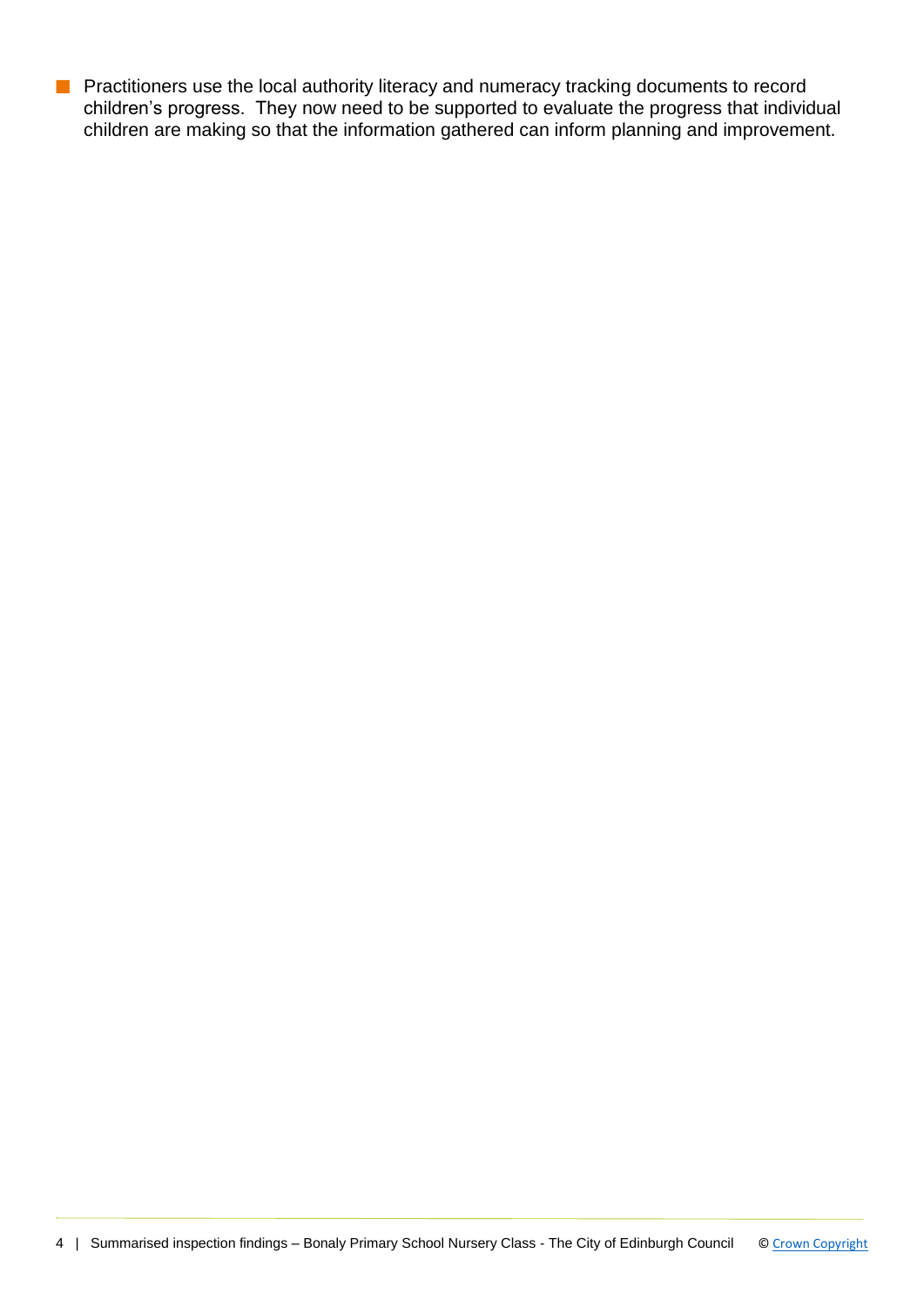**n** Practitioners use the local authority literacy and numeracy tracking documents to record children's progress. They now need to be supported to evaluate the progress that individual children are making so that the information gathered can inform planning and improvement.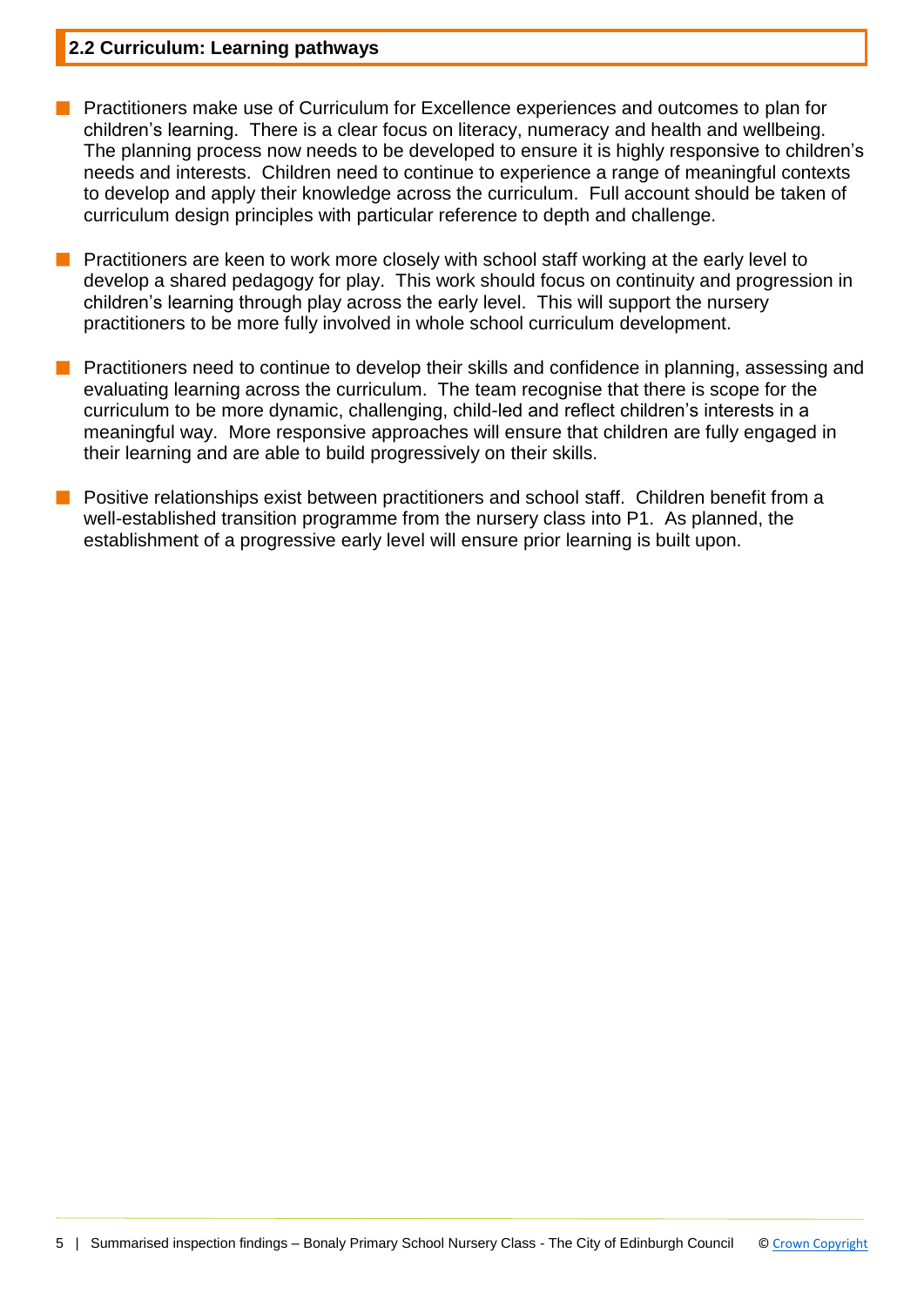### **2.2 Curriculum: Learning pathways**

- **n** Practitioners make use of Curriculum for Excellence experiences and outcomes to plan for children's learning. There is a clear focus on literacy, numeracy and health and wellbeing. The planning process now needs to be developed to ensure it is highly responsive to children's needs and interests. Children need to continue to experience a range of meaningful contexts to develop and apply their knowledge across the curriculum. Full account should be taken of curriculum design principles with particular reference to depth and challenge.
- **n** Practitioners are keen to work more closely with school staff working at the early level to develop a shared pedagogy for play. This work should focus on continuity and progression in children's learning through play across the early level. This will support the nursery practitioners to be more fully involved in whole school curriculum development.
- **n** Practitioners need to continue to develop their skills and confidence in planning, assessing and evaluating learning across the curriculum. The team recognise that there is scope for the curriculum to be more dynamic, challenging, child-led and reflect children's interests in a meaningful way. More responsive approaches will ensure that children are fully engaged in their learning and are able to build progressively on their skills.
- **n** Positive relationships exist between practitioners and school staff. Children benefit from a well-established transition programme from the nursery class into P1. As planned, the establishment of a progressive early level will ensure prior learning is built upon.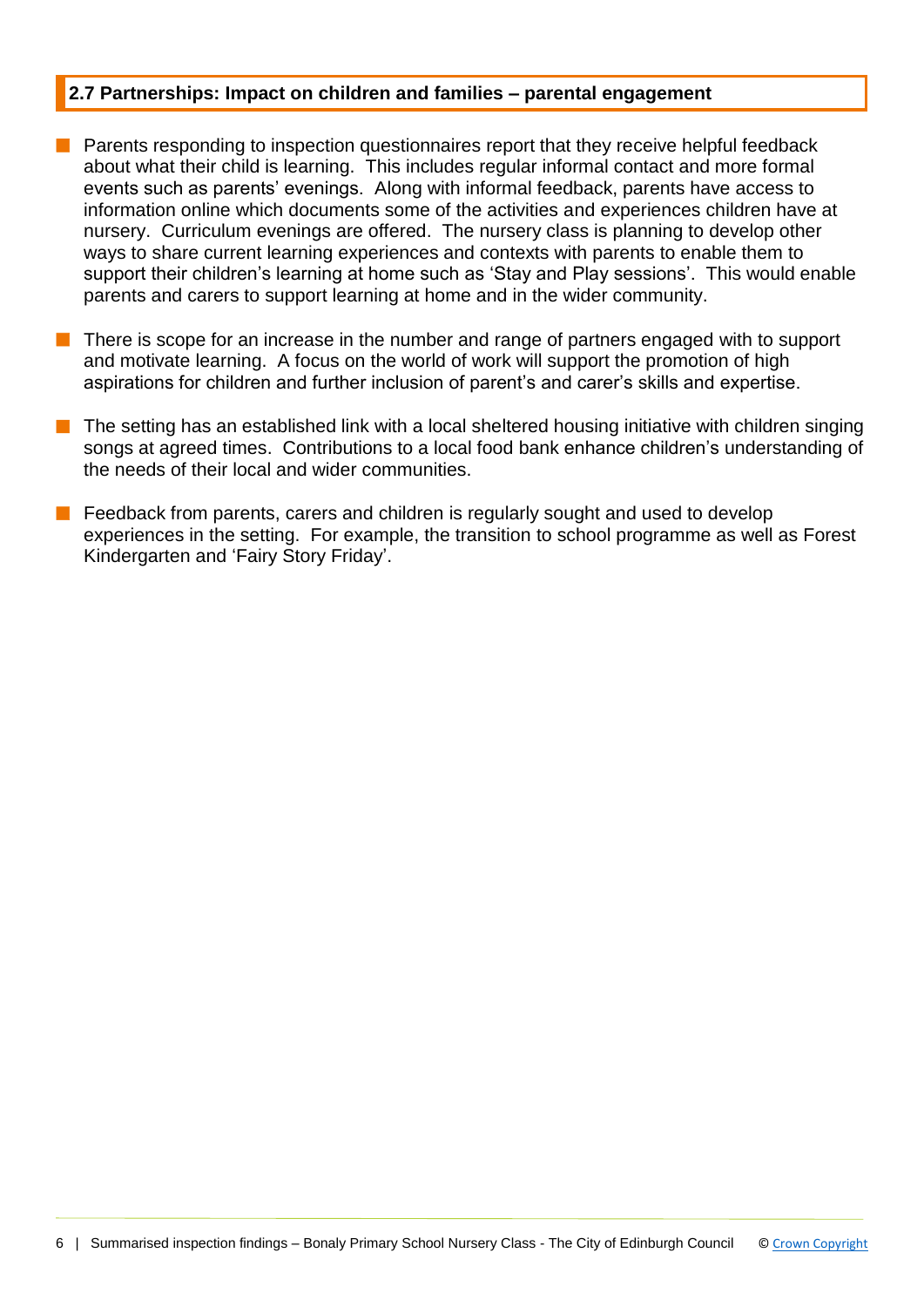## **2.7 Partnerships: Impact on children and families – parental engagement**

- $\blacksquare$  Parents responding to inspection questionnaires report that they receive helpful feedback about what their child is learning. This includes regular informal contact and more formal events such as parents' evenings. Along with informal feedback, parents have access to information online which documents some of the activities and experiences children have at nursery. Curriculum evenings are offered. The nursery class is planning to develop other ways to share current learning experiences and contexts with parents to enable them to support their children's learning at home such as 'Stay and Play sessions'. This would enable parents and carers to support learning at home and in the wider community.
- $\blacksquare$  There is scope for an increase in the number and range of partners engaged with to support and motivate learning. A focus on the world of work will support the promotion of high aspirations for children and further inclusion of parent's and carer's skills and expertise.
- $\blacksquare$  The setting has an established link with a local sheltered housing initiative with children singing songs at agreed times. Contributions to a local food bank enhance children's understanding of the needs of their local and wider communities.
- Feedback from parents, carers and children is regularly sought and used to develop experiences in the setting. For example, the transition to school programme as well as Forest Kindergarten and 'Fairy Story Friday'.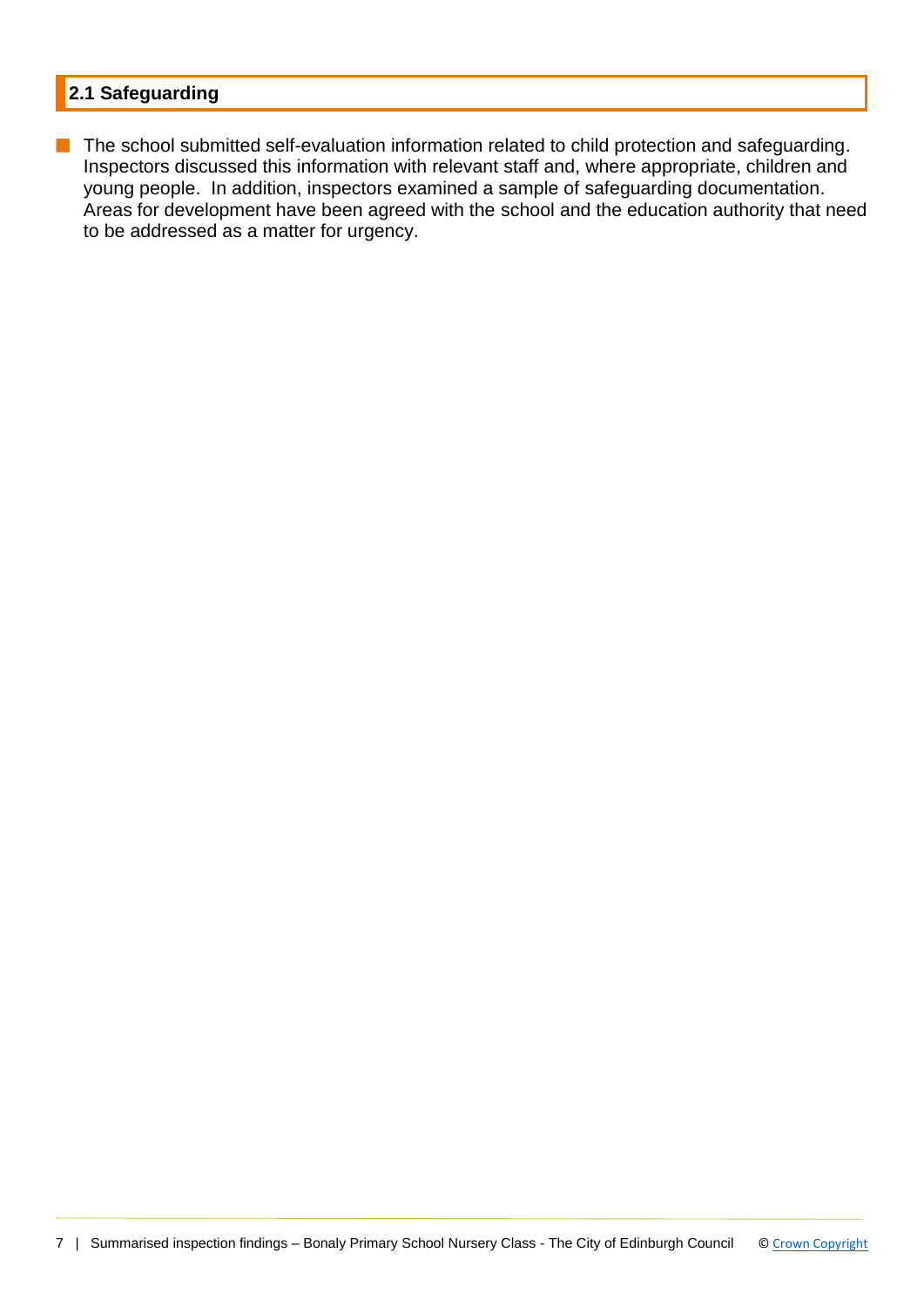## **2.1 Safeguarding**

**n** The school submitted self-evaluation information related to child protection and safeguarding. Inspectors discussed this information with relevant staff and, where appropriate, children and young people. In addition, inspectors examined a sample of safeguarding documentation. Areas for development have been agreed with the school and the education authority that need to be addressed as a matter for urgency.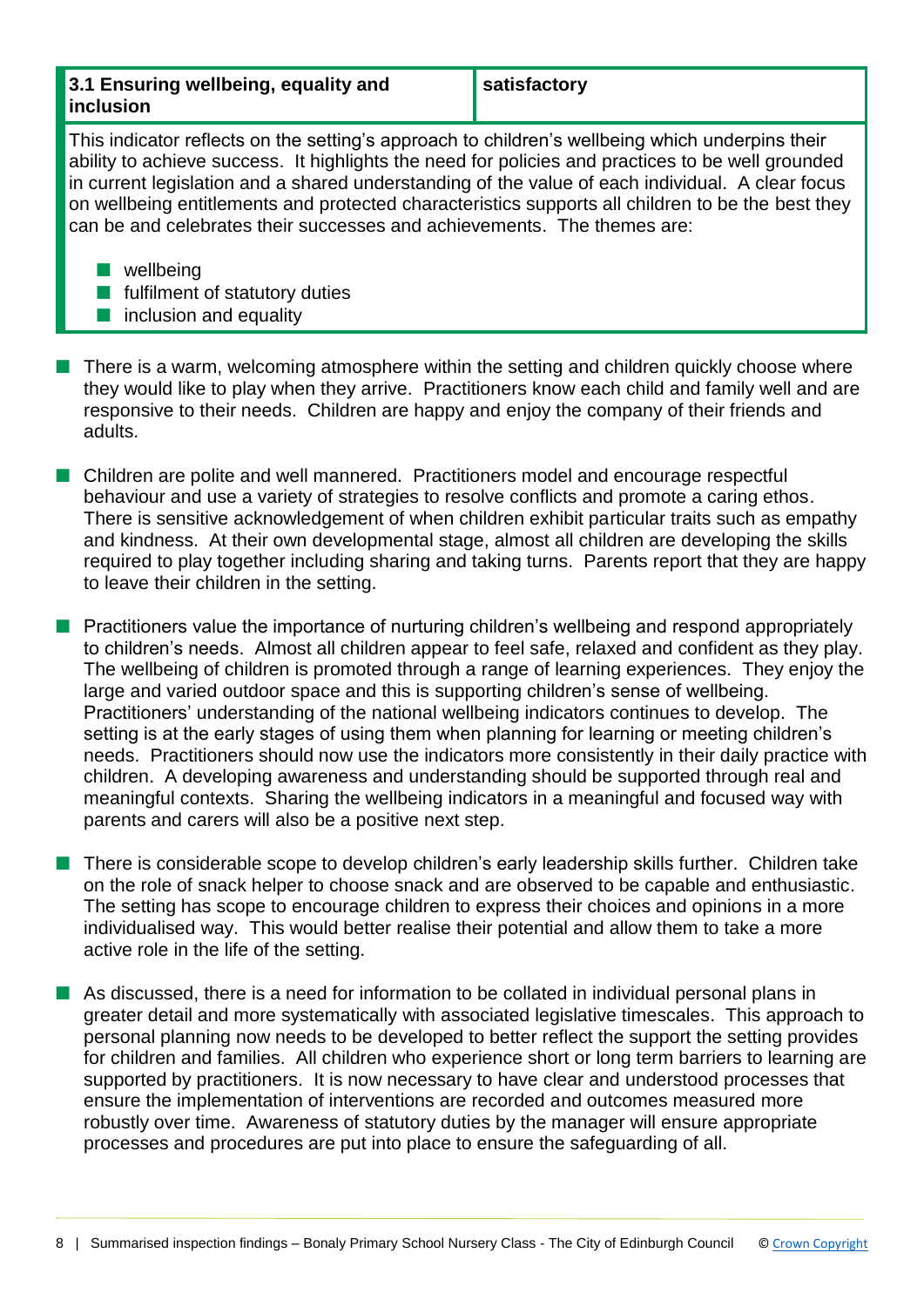| 3.1 Ensuring wellbeing, equality and |  |  |
|--------------------------------------|--|--|
| inclusion                            |  |  |

**satisfactory**

This indicator reflects on the setting's approach to children's wellbeing which underpins their ability to achieve success. It highlights the need for policies and practices to be well grounded in current legislation and a shared understanding of the value of each individual. A clear focus on wellbeing entitlements and protected characteristics supports all children to be the best they can be and celebrates their successes and achievements. The themes are:

 $\blacksquare$  wellbeing

- $\blacksquare$  fulfilment of statutory duties
- $\blacksquare$  inclusion and equality
- $\blacksquare$  There is a warm, welcoming atmosphere within the setting and children quickly choose where they would like to play when they arrive. Practitioners know each child and family well and are responsive to their needs. Children are happy and enjoy the company of their friends and adults.
- Children are polite and well mannered. Practitioners model and encourage respectful behaviour and use a variety of strategies to resolve conflicts and promote a caring ethos. There is sensitive acknowledgement of when children exhibit particular traits such as empathy and kindness. At their own developmental stage, almost all children are developing the skills required to play together including sharing and taking turns. Parents report that they are happy to leave their children in the setting.
- $\blacksquare$  Practitioners value the importance of nurturing children's wellbeing and respond appropriately to children's needs. Almost all children appear to feel safe, relaxed and confident as they play. The wellbeing of children is promoted through a range of learning experiences. They enjoy the large and varied outdoor space and this is supporting children's sense of wellbeing. Practitioners' understanding of the national wellbeing indicators continues to develop. The setting is at the early stages of using them when planning for learning or meeting children's needs. Practitioners should now use the indicators more consistently in their daily practice with children. A developing awareness and understanding should be supported through real and meaningful contexts. Sharing the wellbeing indicators in a meaningful and focused way with parents and carers will also be a positive next step.
- There is considerable scope to develop children's early leadership skills further. Children take on the role of snack helper to choose snack and are observed to be capable and enthusiastic. The setting has scope to encourage children to express their choices and opinions in a more individualised way. This would better realise their potential and allow them to take a more active role in the life of the setting.
- **n** As discussed, there is a need for information to be collated in individual personal plans in greater detail and more systematically with associated legislative timescales. This approach to personal planning now needs to be developed to better reflect the support the setting provides for children and families. All children who experience short or long term barriers to learning are supported by practitioners. It is now necessary to have clear and understood processes that ensure the implementation of interventions are recorded and outcomes measured more robustly over time. Awareness of statutory duties by the manager will ensure appropriate processes and procedures are put into place to ensure the safeguarding of all.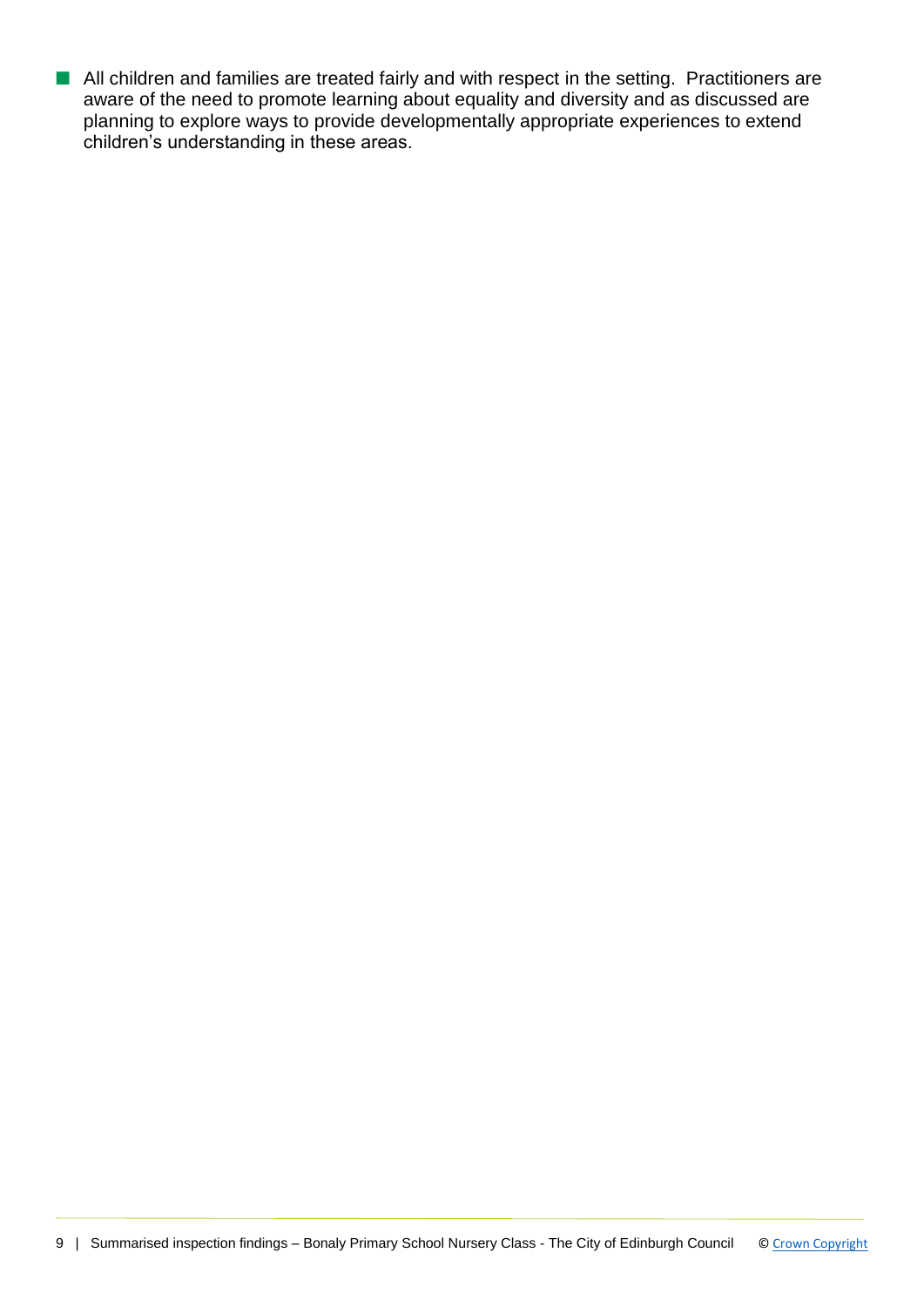■ All children and families are treated fairly and with respect in the setting. Practitioners are aware of the need to promote learning about equality and diversity and as discussed are planning to explore ways to provide developmentally appropriate experiences to extend children's understanding in these areas.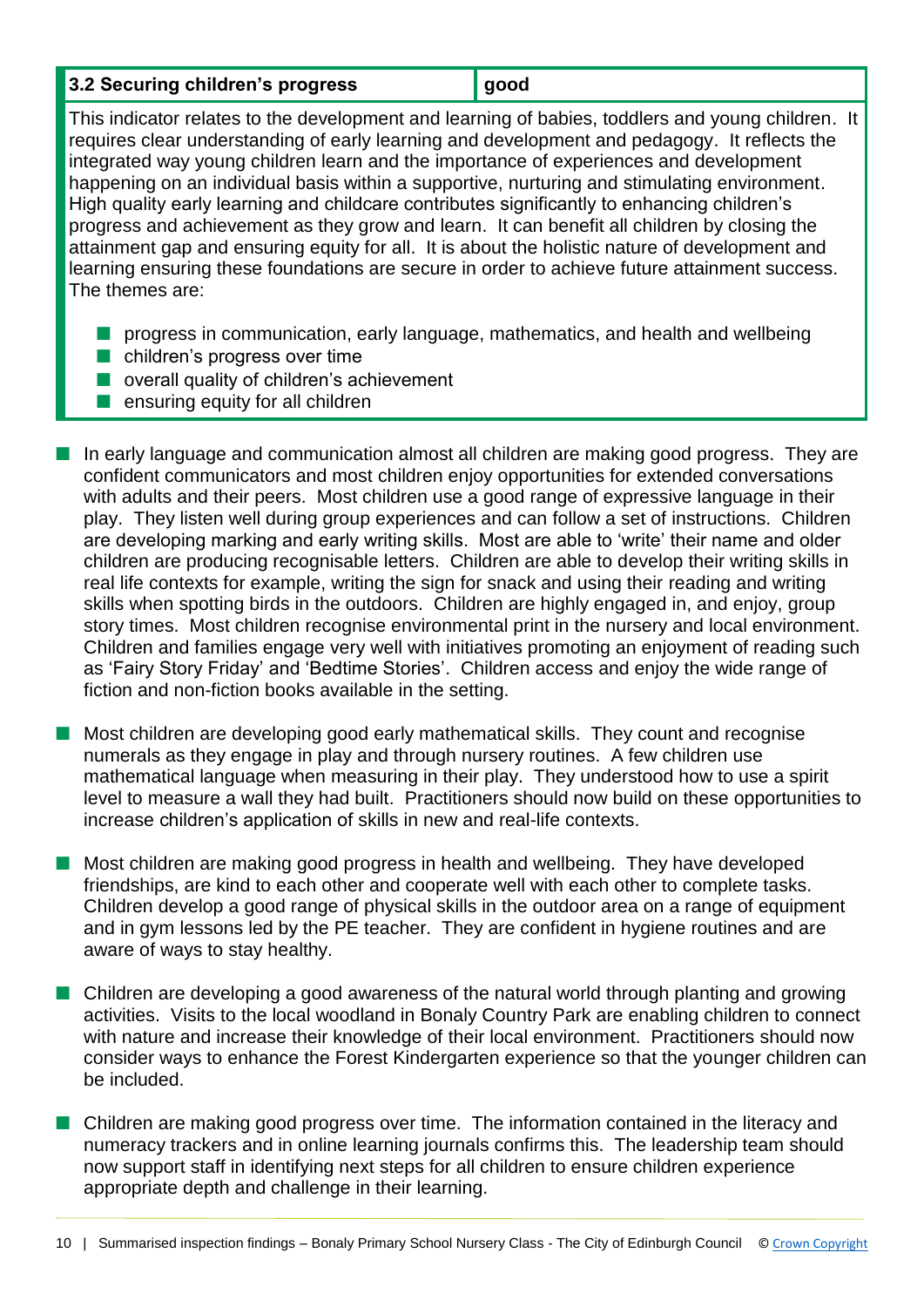| 3.2 Securing children's progress | ∥ good |
|----------------------------------|--------|
|----------------------------------|--------|

This indicator relates to the development and learning of babies, toddlers and young children. It requires clear understanding of early learning and development and pedagogy. It reflects the integrated way young children learn and the importance of experiences and development happening on an individual basis within a supportive, nurturing and stimulating environment. High quality early learning and childcare contributes significantly to enhancing children's progress and achievement as they grow and learn. It can benefit all children by closing the attainment gap and ensuring equity for all. It is about the holistic nature of development and learning ensuring these foundations are secure in order to achieve future attainment success. The themes are:

- **n** progress in communication, early language, mathematics, and health and wellbeing
- $\blacksquare$  children's progress over time
- $\blacksquare$  overall quality of children's achievement
- $\blacksquare$  ensuring equity for all children
- $\blacksquare$  In early language and communication almost all children are making good progress. They are confident communicators and most children enjoy opportunities for extended conversations with adults and their peers. Most children use a good range of expressive language in their play. They listen well during group experiences and can follow a set of instructions. Children are developing marking and early writing skills. Most are able to 'write' their name and older children are producing recognisable letters. Children are able to develop their writing skills in real life contexts for example, writing the sign for snack and using their reading and writing skills when spotting birds in the outdoors. Children are highly engaged in, and enjoy, group story times. Most children recognise environmental print in the nursery and local environment. Children and families engage very well with initiatives promoting an enjoyment of reading such as 'Fairy Story Friday' and 'Bedtime Stories'. Children access and enjoy the wide range of fiction and non-fiction books available in the setting.
- $\blacksquare$  Most children are developing good early mathematical skills. They count and recognise numerals as they engage in play and through nursery routines. A few children use mathematical language when measuring in their play. They understood how to use a spirit level to measure a wall they had built. Practitioners should now build on these opportunities to increase children's application of skills in new and real-life contexts.
- $\blacksquare$  Most children are making good progress in health and wellbeing. They have developed friendships, are kind to each other and cooperate well with each other to complete tasks. Children develop a good range of physical skills in the outdoor area on a range of equipment and in gym lessons led by the PE teacher. They are confident in hygiene routines and are aware of ways to stay healthy.
- n Children are developing a good awareness of the natural world through planting and growing activities. Visits to the local woodland in Bonaly Country Park are enabling children to connect with nature and increase their knowledge of their local environment. Practitioners should now consider ways to enhance the Forest Kindergarten experience so that the younger children can be included.
- Children are making good progress over time. The information contained in the literacy and numeracy trackers and in online learning journals confirms this. The leadership team should now support staff in identifying next steps for all children to ensure children experience appropriate depth and challenge in their learning.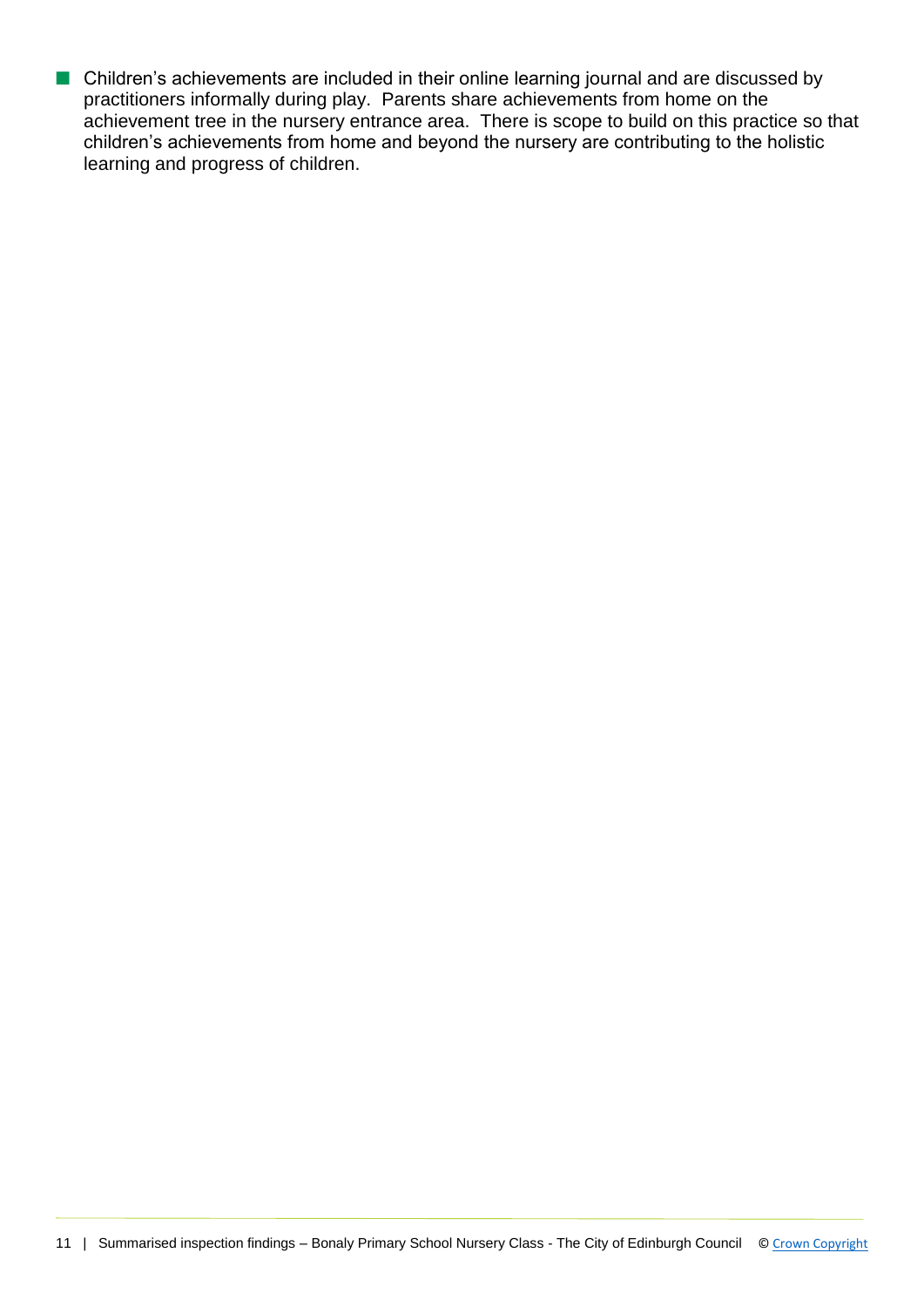■ Children's achievements are included in their online learning journal and are discussed by practitioners informally during play. Parents share achievements from home on the achievement tree in the nursery entrance area. There is scope to build on this practice so that children's achievements from home and beyond the nursery are contributing to the holistic learning and progress of children.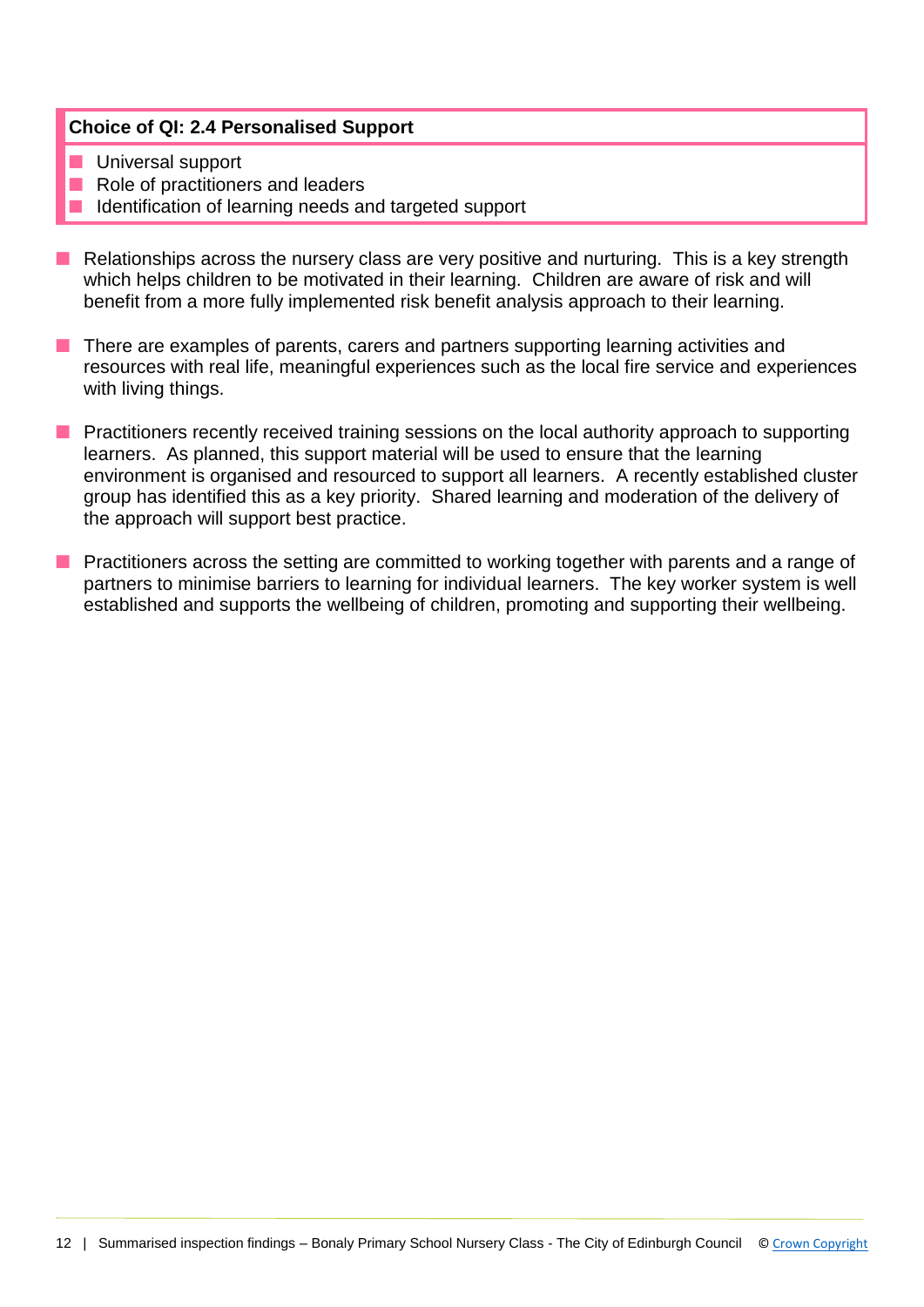## **Choice of QI: 2.4 Personalised Support**

- **n** Universal support
- Role of practitioners and leaders
- Identification of learning needs and targeted support
- Relationships across the nursery class are very positive and nurturing. This is a key strength which helps children to be motivated in their learning. Children are aware of risk and will benefit from a more fully implemented risk benefit analysis approach to their learning.
- **n** There are examples of parents, carers and partners supporting learning activities and resources with real life, meaningful experiences such as the local fire service and experiences with living things.
- **n** Practitioners recently received training sessions on the local authority approach to supporting learners. As planned, this support material will be used to ensure that the learning environment is organised and resourced to support all learners. A recently established cluster group has identified this as a key priority. Shared learning and moderation of the delivery of the approach will support best practice.
- Practitioners across the setting are committed to working together with parents and a range of partners to minimise barriers to learning for individual learners. The key worker system is well established and supports the wellbeing of children, promoting and supporting their wellbeing.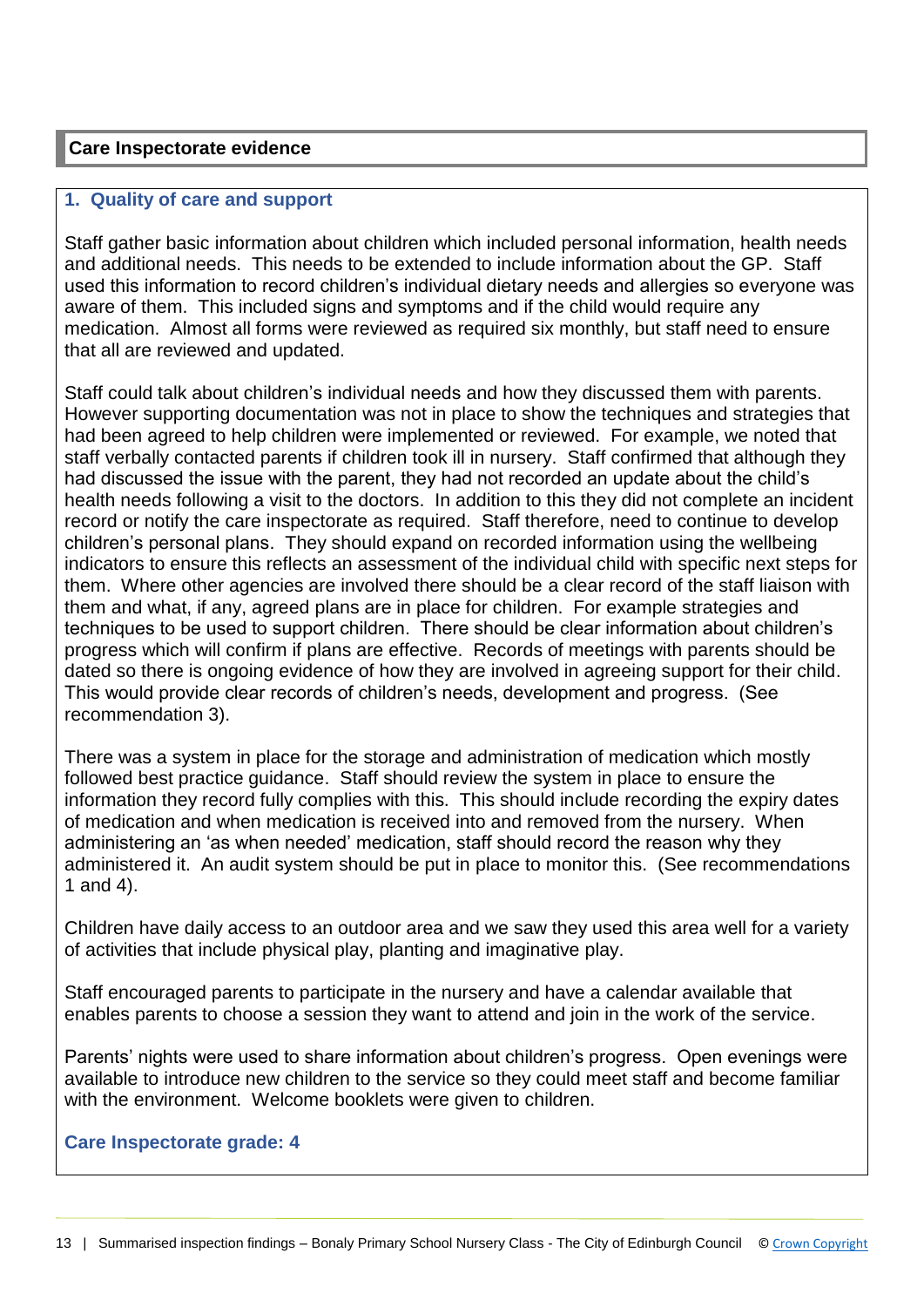### **Care Inspectorate evidence**

#### **1. Quality of care and support**

Staff gather basic information about children which included personal information, health needs and additional needs. This needs to be extended to include information about the GP. Staff used this information to record children's individual dietary needs and allergies so everyone was aware of them. This included signs and symptoms and if the child would require any medication. Almost all forms were reviewed as required six monthly, but staff need to ensure that all are reviewed and updated.

Staff could talk about children's individual needs and how they discussed them with parents. However supporting documentation was not in place to show the techniques and strategies that had been agreed to help children were implemented or reviewed. For example, we noted that staff verbally contacted parents if children took ill in nursery. Staff confirmed that although they had discussed the issue with the parent, they had not recorded an update about the child's health needs following a visit to the doctors. In addition to this they did not complete an incident record or notify the care inspectorate as required. Staff therefore, need to continue to develop children's personal plans. They should expand on recorded information using the wellbeing indicators to ensure this reflects an assessment of the individual child with specific next steps for them. Where other agencies are involved there should be a clear record of the staff liaison with them and what, if any, agreed plans are in place for children. For example strategies and techniques to be used to support children. There should be clear information about children's progress which will confirm if plans are effective. Records of meetings with parents should be dated so there is ongoing evidence of how they are involved in agreeing support for their child. This would provide clear records of children's needs, development and progress. (See recommendation 3).

There was a system in place for the storage and administration of medication which mostly followed best practice guidance. Staff should review the system in place to ensure the information they record fully complies with this. This should include recording the expiry dates of medication and when medication is received into and removed from the nursery. When administering an 'as when needed' medication, staff should record the reason why they administered it. An audit system should be put in place to monitor this. (See recommendations 1 and 4).

Children have daily access to an outdoor area and we saw they used this area well for a variety of activities that include physical play, planting and imaginative play.

Staff encouraged parents to participate in the nursery and have a calendar available that enables parents to choose a session they want to attend and join in the work of the service.

Parents' nights were used to share information about children's progress. Open evenings were available to introduce new children to the service so they could meet staff and become familiar with the environment. Welcome booklets were given to children.

#### **Care Inspectorate grade: 4**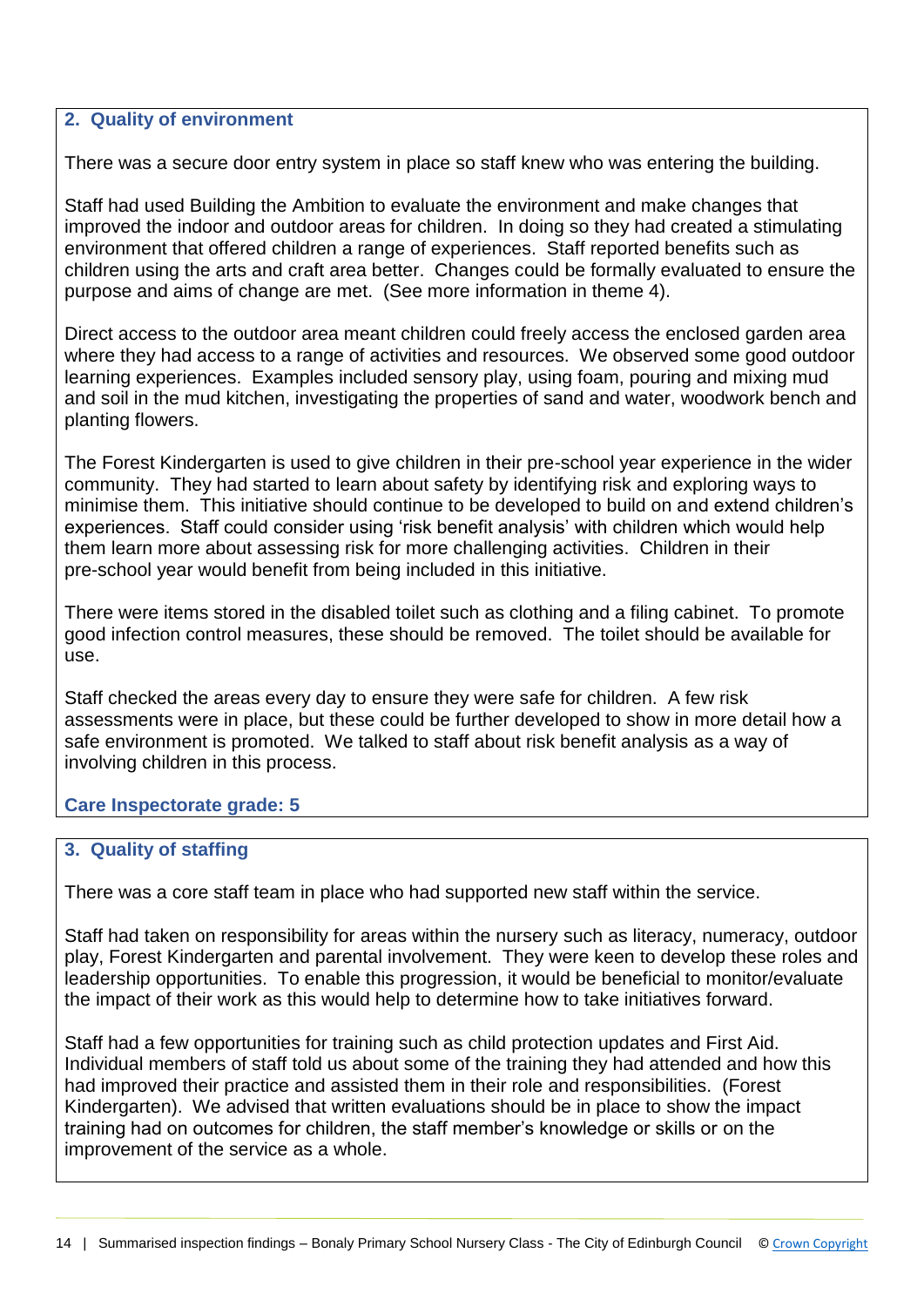#### **2. Quality of environment**

There was a secure door entry system in place so staff knew who was entering the building.

Staff had used Building the Ambition to evaluate the environment and make changes that improved the indoor and outdoor areas for children. In doing so they had created a stimulating environment that offered children a range of experiences. Staff reported benefits such as children using the arts and craft area better. Changes could be formally evaluated to ensure the purpose and aims of change are met. (See more information in theme 4).

Direct access to the outdoor area meant children could freely access the enclosed garden area where they had access to a range of activities and resources. We observed some good outdoor learning experiences. Examples included sensory play, using foam, pouring and mixing mud and soil in the mud kitchen, investigating the properties of sand and water, woodwork bench and planting flowers.

The Forest Kindergarten is used to give children in their pre-school year experience in the wider community. They had started to learn about safety by identifying risk and exploring ways to minimise them. This initiative should continue to be developed to build on and extend children's experiences. Staff could consider using 'risk benefit analysis' with children which would help them learn more about assessing risk for more challenging activities. Children in their pre-school year would benefit from being included in this initiative.

There were items stored in the disabled toilet such as clothing and a filing cabinet. To promote good infection control measures, these should be removed. The toilet should be available for use.

Staff checked the areas every day to ensure they were safe for children. A few risk assessments were in place, but these could be further developed to show in more detail how a safe environment is promoted. We talked to staff about risk benefit analysis as a way of involving children in this process.

## **Care Inspectorate grade: 5**

## **3. Quality of staffing**

There was a core staff team in place who had supported new staff within the service.

Staff had taken on responsibility for areas within the nursery such as literacy, numeracy, outdoor play, Forest Kindergarten and parental involvement. They were keen to develop these roles and leadership opportunities. To enable this progression, it would be beneficial to monitor/evaluate the impact of their work as this would help to determine how to take initiatives forward.

Staff had a few opportunities for training such as child protection updates and First Aid. Individual members of staff told us about some of the training they had attended and how this had improved their practice and assisted them in their role and responsibilities. (Forest Kindergarten). We advised that written evaluations should be in place to show the impact training had on outcomes for children, the staff member's knowledge or skills or on the improvement of the service as a whole.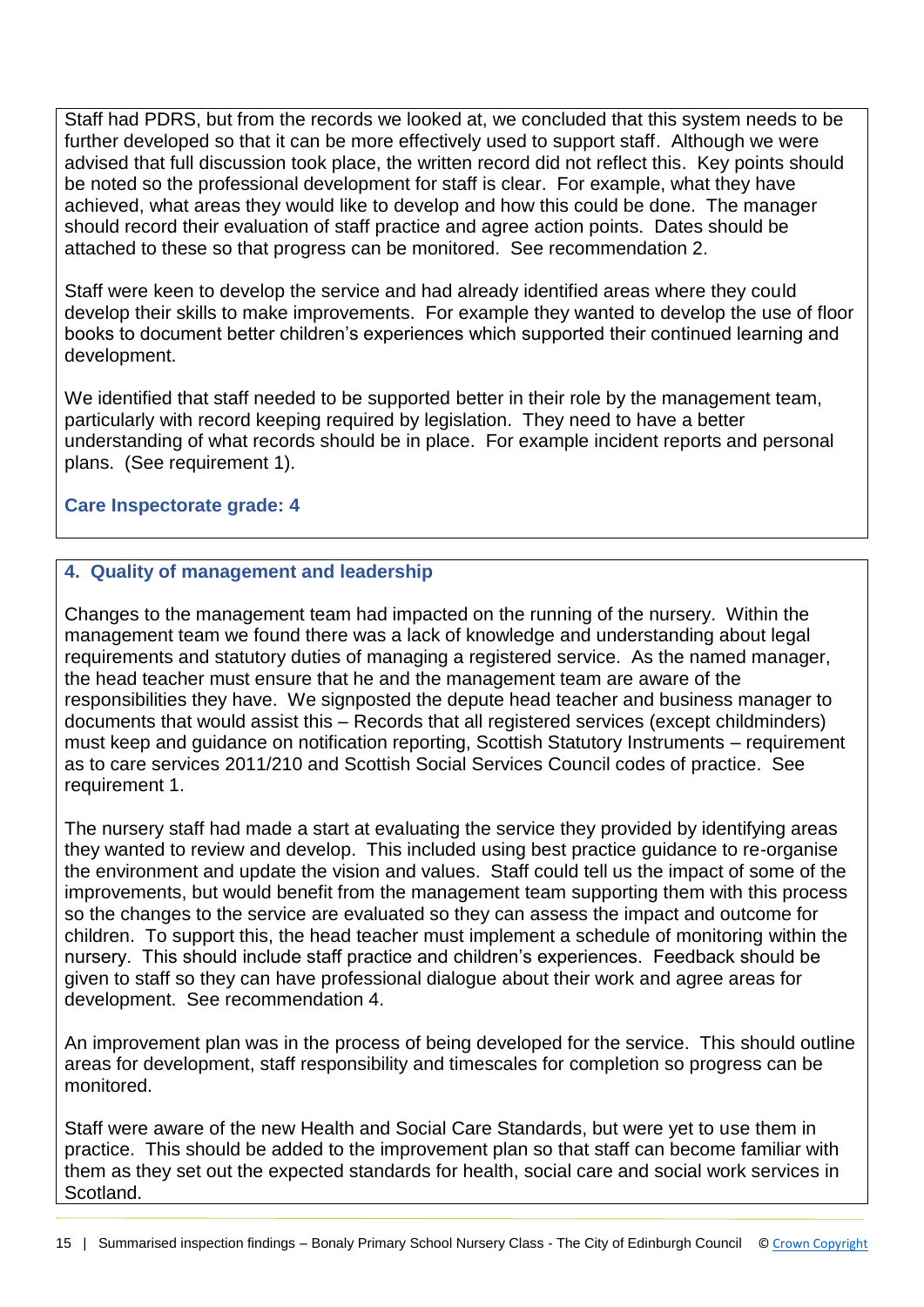Staff had PDRS, but from the records we looked at, we concluded that this system needs to be further developed so that it can be more effectively used to support staff. Although we were advised that full discussion took place, the written record did not reflect this. Key points should be noted so the professional development for staff is clear. For example, what they have achieved, what areas they would like to develop and how this could be done. The manager should record their evaluation of staff practice and agree action points. Dates should be attached to these so that progress can be monitored. See recommendation 2.

Staff were keen to develop the service and had already identified areas where they could develop their skills to make improvements. For example they wanted to develop the use of floor books to document better children's experiences which supported their continued learning and development.

We identified that staff needed to be supported better in their role by the management team, particularly with record keeping required by legislation. They need to have a better understanding of what records should be in place. For example incident reports and personal plans. (See requirement 1).

## **Care Inspectorate grade: 4**

## **4. Quality of management and leadership**

Changes to the management team had impacted on the running of the nursery. Within the management team we found there was a lack of knowledge and understanding about legal requirements and statutory duties of managing a registered service. As the named manager, the head teacher must ensure that he and the management team are aware of the responsibilities they have. We signposted the depute head teacher and business manager to documents that would assist this – Records that all registered services (except childminders) must keep and guidance on notification reporting, Scottish Statutory Instruments – requirement as to care services 2011/210 and Scottish Social Services Council codes of practice. See requirement 1.

The nursery staff had made a start at evaluating the service they provided by identifying areas they wanted to review and develop. This included using best practice guidance to re-organise the environment and update the vision and values. Staff could tell us the impact of some of the improvements, but would benefit from the management team supporting them with this process so the changes to the service are evaluated so they can assess the impact and outcome for children. To support this, the head teacher must implement a schedule of monitoring within the nursery. This should include staff practice and children's experiences. Feedback should be given to staff so they can have professional dialogue about their work and agree areas for development. See recommendation 4.

An improvement plan was in the process of being developed for the service. This should outline areas for development, staff responsibility and timescales for completion so progress can be monitored.

Staff were aware of the new Health and Social Care Standards, but were yet to use them in practice. This should be added to the improvement plan so that staff can become familiar with them as they set out the expected standards for health, social care and social work services in Scotland.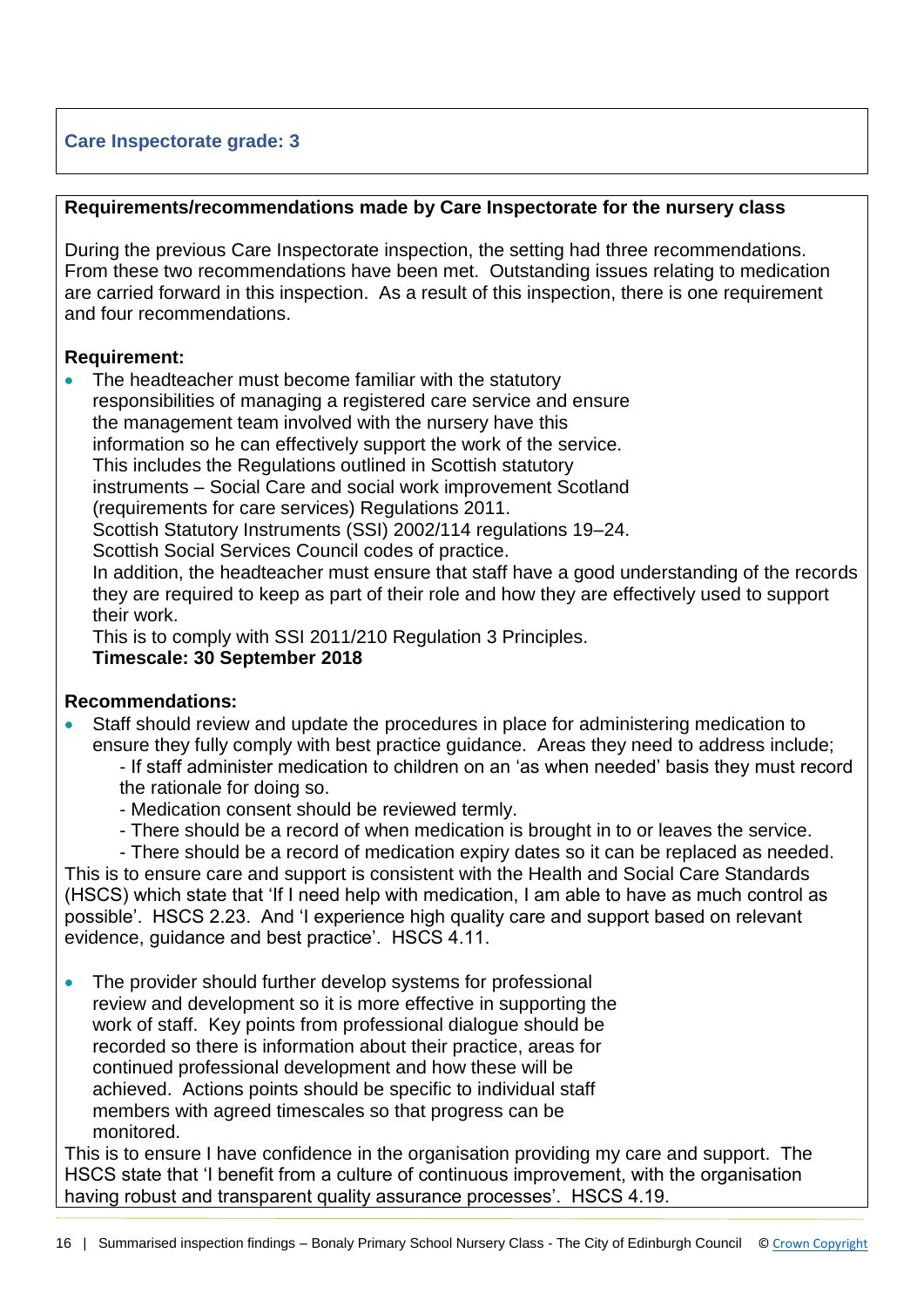## **Care Inspectorate grade: 3**

### **Requirements/recommendations made by Care Inspectorate for the nursery class**

During the previous Care Inspectorate inspection, the setting had three recommendations. From these two recommendations have been met. Outstanding issues relating to medication are carried forward in this inspection. As a result of this inspection, there is one requirement and four recommendations.

## **Requirement:**

 The headteacher must become familiar with the statutory responsibilities of managing a registered care service and ensure the management team involved with the nursery have this information so he can effectively support the work of the service. This includes the Regulations outlined in Scottish statutory instruments – Social Care and social work improvement Scotland (requirements for care services) Regulations 2011. Scottish Statutory Instruments (SSI) 2002/114 regulations 19–24. Scottish Social Services Council codes of practice. In addition, the headteacher must ensure that staff have a good understanding of the records they are required to keep as part of their role and how they are effectively used to support their work.

This is to comply with SSI 2011/210 Regulation 3 Principles. **Timescale: 30 September 2018** 

## **Recommendations:**

- Staff should review and update the procedures in place for administering medication to ensure they fully comply with best practice guidance. Areas they need to address include; - If staff administer medication to children on an 'as when needed' basis they must record the rationale for doing so.
	- Medication consent should be reviewed termly.
	- There should be a record of when medication is brought in to or leaves the service.
	- There should be a record of medication expiry dates so it can be replaced as needed.

This is to ensure care and support is consistent with the Health and Social Care Standards (HSCS) which state that 'If I need help with medication, I am able to have as much control as possible'. HSCS 2.23. And 'I experience high quality care and support based on relevant evidence, guidance and best practice'. HSCS 4.11.

• The provider should further develop systems for professional review and development so it is more effective in supporting the work of staff. Key points from professional dialogue should be recorded so there is information about their practice, areas for continued professional development and how these will be achieved. Actions points should be specific to individual staff members with agreed timescales so that progress can be monitored.

This is to ensure I have confidence in the organisation providing my care and support. The HSCS state that 'I benefit from a culture of continuous improvement, with the organisation having robust and transparent quality assurance processes'. HSCS 4.19.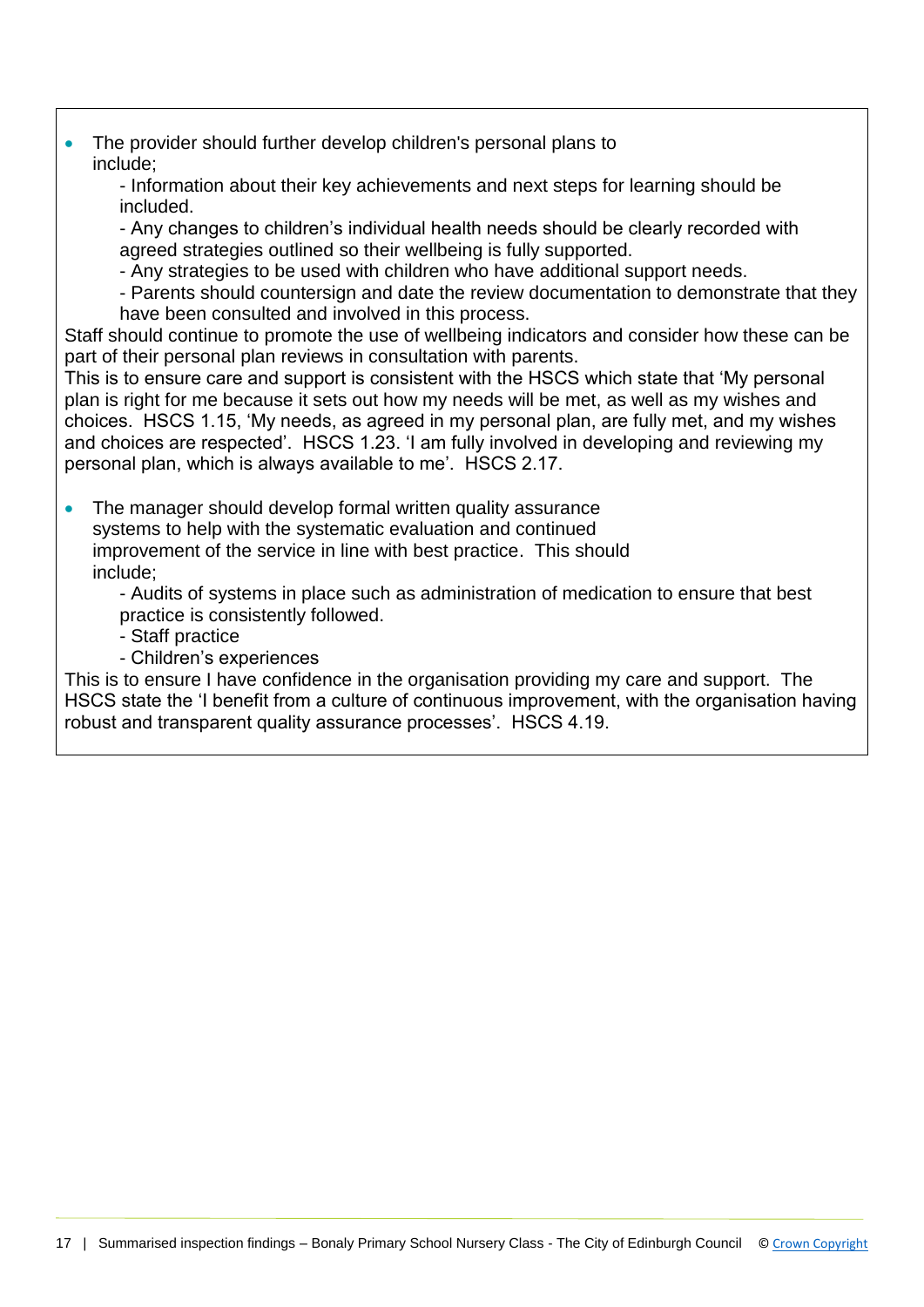• The provider should further develop children's personal plans to include;

- Information about their key achievements and next steps for learning should be included.

- Any changes to children's individual health needs should be clearly recorded with agreed strategies outlined so their wellbeing is fully supported.

- Any strategies to be used with children who have additional support needs.

- Parents should countersign and date the review documentation to demonstrate that they have been consulted and involved in this process.

Staff should continue to promote the use of wellbeing indicators and consider how these can be part of their personal plan reviews in consultation with parents.

This is to ensure care and support is consistent with the HSCS which state that 'My personal plan is right for me because it sets out how my needs will be met, as well as my wishes and choices. HSCS 1.15, 'My needs, as agreed in my personal plan, are fully met, and my wishes and choices are respected'. HSCS 1.23. 'I am fully involved in developing and reviewing my personal plan, which is always available to me'. HSCS 2.17.

• The manager should develop formal written quality assurance systems to help with the systematic evaluation and continued improvement of the service in line with best practice. This should include;

- Audits of systems in place such as administration of medication to ensure that best practice is consistently followed.

- Staff practice
- Children's experiences

This is to ensure I have confidence in the organisation providing my care and support. The HSCS state the 'I benefit from a culture of continuous improvement, with the organisation having robust and transparent quality assurance processes'. HSCS 4.19.